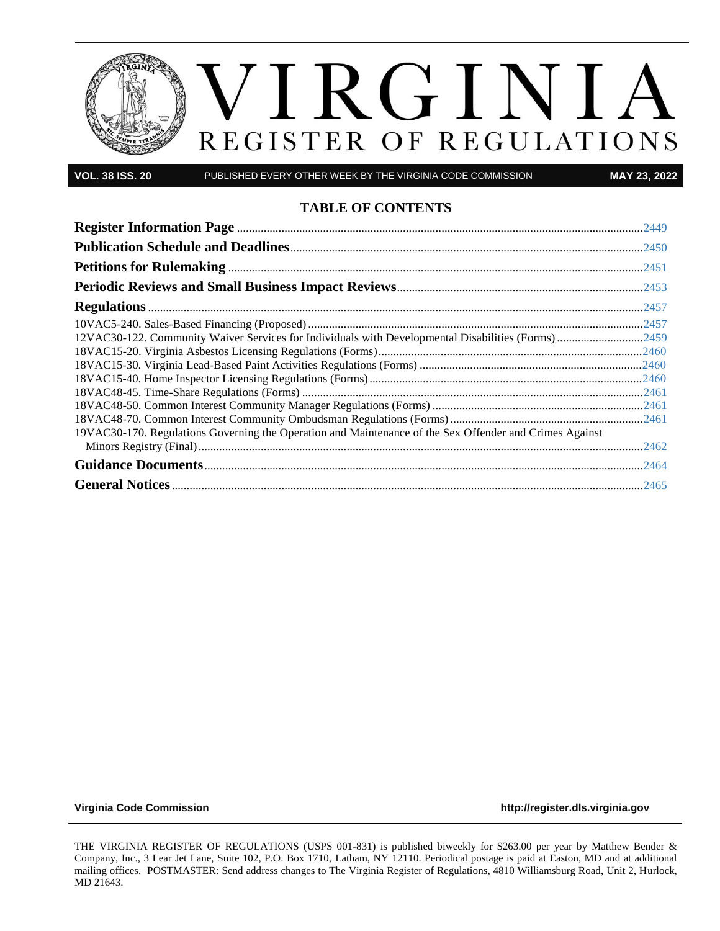

**VOL. 38 ISS. 20** PUBLISHED EVERY OTHER WEEK BY THE VIRGINIA CODE COMMISSION **MAY 23, 2022**

#### **TABLE OF CONTENTS**

| 12VAC30-122. Community Waiver Services for Individuals with Developmental Disabilities (Forms) 2459     |  |
|---------------------------------------------------------------------------------------------------------|--|
|                                                                                                         |  |
|                                                                                                         |  |
|                                                                                                         |  |
|                                                                                                         |  |
|                                                                                                         |  |
|                                                                                                         |  |
| 19VAC30-170. Regulations Governing the Operation and Maintenance of the Sex Offender and Crimes Against |  |
|                                                                                                         |  |
|                                                                                                         |  |
|                                                                                                         |  |

**[Virginia Code Commission](http://register.dls.virginia.gov/) [http://register.dls.virginia.gov](http://register.dls.virginia.gov/)**

THE VIRGINIA REGISTER OF REGULATIONS (USPS 001-831) is published biweekly for \$263.00 per year by Matthew Bender & Company, Inc., 3 Lear Jet Lane, Suite 102, P.O. Box 1710, Latham, NY 12110. Periodical postage is paid at Easton, MD and at additional mailing offices. POSTMASTER: Send address changes to The Virginia Register of Regulations, 4810 Williamsburg Road, Unit 2, Hurlock, MD 21643.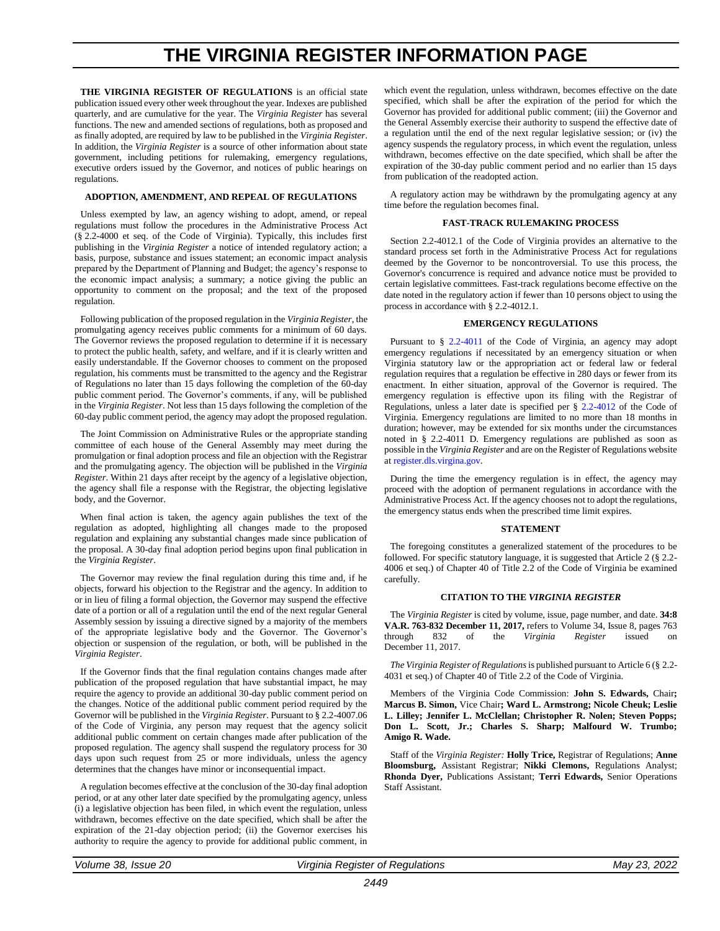# **THE VIRGINIA REGISTER INFORMATION PAGE**

<span id="page-2-0"></span>THE VIRGINIA REGISTER OF REGULATIONS is an official state publication issued every other week throughout the year. Indexes are published quarterly, and are cumulative for the year. The *Virginia Register* has several functions. The new and amended sections of regulations, both as proposed and as finally adopted, are required by law to be published in the *Virginia Register*. In addition, the *Virginia Register* is a source of other information about state government, including petitions for rulemaking, emergency regulations, executive orders issued by the Governor, and notices of public hearings on regulations.

#### **ADOPTION, AMENDMENT, AND REPEAL OF REGULATIONS**

Unless exempted by law, an agency wishing to adopt, amend, or repeal regulations must follow the procedures in the Administrative Process Act (§ 2.2-4000 et seq. of the Code of Virginia). Typically, this includes first publishing in the *Virginia Register* a notice of intended regulatory action; a basis, purpose, substance and issues statement; an economic impact analysis prepared by the Department of Planning and Budget; the agency's response to the economic impact analysis; a summary; a notice giving the public an opportunity to comment on the proposal; and the text of the proposed regulation.

Following publication of the proposed regulation in the *Virginia Register*, the promulgating agency receives public comments for a minimum of 60 days. The Governor reviews the proposed regulation to determine if it is necessary to protect the public health, safety, and welfare, and if it is clearly written and easily understandable. If the Governor chooses to comment on the proposed regulation, his comments must be transmitted to the agency and the Registrar of Regulations no later than 15 days following the completion of the 60-day public comment period. The Governor's comments, if any, will be published in the *Virginia Register*. Not less than 15 days following the completion of the 60-day public comment period, the agency may adopt the proposed regulation.

The Joint Commission on Administrative Rules or the appropriate standing committee of each house of the General Assembly may meet during the promulgation or final adoption process and file an objection with the Registrar and the promulgating agency. The objection will be published in the *Virginia Register*. Within 21 days after receipt by the agency of a legislative objection, the agency shall file a response with the Registrar, the objecting legislative body, and the Governor.

When final action is taken, the agency again publishes the text of the regulation as adopted, highlighting all changes made to the proposed regulation and explaining any substantial changes made since publication of the proposal. A 30-day final adoption period begins upon final publication in the *Virginia Register*.

The Governor may review the final regulation during this time and, if he objects, forward his objection to the Registrar and the agency. In addition to or in lieu of filing a formal objection, the Governor may suspend the effective date of a portion or all of a regulation until the end of the next regular General Assembly session by issuing a directive signed by a majority of the members of the appropriate legislative body and the Governor. The Governor's objection or suspension of the regulation, or both, will be published in the *Virginia Register*.

If the Governor finds that the final regulation contains changes made after publication of the proposed regulation that have substantial impact, he may require the agency to provide an additional 30-day public comment period on the changes. Notice of the additional public comment period required by the Governor will be published in the *Virginia Register*. Pursuant to § 2.2-4007.06 of the Code of Virginia, any person may request that the agency solicit additional public comment on certain changes made after publication of the proposed regulation. The agency shall suspend the regulatory process for 30 days upon such request from 25 or more individuals, unless the agency determines that the changes have minor or inconsequential impact.

A regulation becomes effective at the conclusion of the 30-day final adoption period, or at any other later date specified by the promulgating agency, unless (i) a legislative objection has been filed, in which event the regulation, unless withdrawn, becomes effective on the date specified, which shall be after the expiration of the 21-day objection period; (ii) the Governor exercises his authority to require the agency to provide for additional public comment, in which event the regulation, unless withdrawn, becomes effective on the date specified, which shall be after the expiration of the period for which the Governor has provided for additional public comment; (iii) the Governor and the General Assembly exercise their authority to suspend the effective date of a regulation until the end of the next regular legislative session; or (iv) the agency suspends the regulatory process, in which event the regulation, unless withdrawn, becomes effective on the date specified, which shall be after the expiration of the 30-day public comment period and no earlier than 15 days from publication of the readopted action.

A regulatory action may be withdrawn by the promulgating agency at any time before the regulation becomes final.

#### **FAST-TRACK RULEMAKING PROCESS**

Section 2.2-4012.1 of the Code of Virginia provides an alternative to the standard process set forth in the Administrative Process Act for regulations deemed by the Governor to be noncontroversial. To use this process, the Governor's concurrence is required and advance notice must be provided to certain legislative committees. Fast-track regulations become effective on the date noted in the regulatory action if fewer than 10 persons object to using the process in accordance with § 2.2-4012.1.

#### **EMERGENCY REGULATIONS**

Pursuant to § [2.2-4011](https://law.lis.virginia.gov/vacode/2.2-4011/) of the Code of Virginia, an agency may adopt emergency regulations if necessitated by an emergency situation or when Virginia statutory law or the appropriation act or federal law or federal regulation requires that a regulation be effective in 280 days or fewer from its enactment. In either situation, approval of the Governor is required. The emergency regulation is effective upon its filing with the Registrar of Regulations, unless a later date is specified per § [2.2-4012](https://law.lis.virginia.gov/vacode/2.2-4011/) of the Code of Virginia. Emergency regulations are limited to no more than 18 months in duration; however, may be extended for six months under the circumstances noted in § 2.2-4011 D. Emergency regulations are published as soon as possible in the *Virginia Register* and are on the Register of Regulations website a[t register.dls.virgina.gov.](http://register.dls.virgina.gov/)

During the time the emergency regulation is in effect, the agency may proceed with the adoption of permanent regulations in accordance with the Administrative Process Act. If the agency chooses not to adopt the regulations, the emergency status ends when the prescribed time limit expires.

#### **STATEMENT**

The foregoing constitutes a generalized statement of the procedures to be followed. For specific statutory language, it is suggested that Article 2 (§ 2.2- 4006 et seq.) of Chapter 40 of Title 2.2 of the Code of Virginia be examined carefully.

#### **CITATION TO THE** *VIRGINIA REGISTER*

The *Virginia Register* is cited by volume, issue, page number, and date. **34:8 VA.R. 763-832 December 11, 2017,** refers to Volume 34, Issue 8, pages 763 through 832 of the *Virginia Register* issued on December 11, 2017.

*The Virginia Register of Regulations*is published pursuant to Article 6 (§ 2.2- 4031 et seq.) of Chapter 40 of Title 2.2 of the Code of Virginia.

Members of the Virginia Code Commission: **John S. Edwards,** Chair**; Marcus B. Simon,** Vice Chair**; Ward L. Armstrong; Nicole Cheuk; Leslie L. Lilley; Jennifer L. McClellan; Christopher R. Nolen; Steven Popps; Don L. Scott, Jr.; Charles S. Sharp; Malfourd W. Trumbo; Amigo R. Wade.**

Staff of the *Virginia Register:* **Holly Trice,** Registrar of Regulations; **Anne Bloomsburg,** Assistant Registrar; **Nikki Clemons,** Regulations Analyst; **Rhonda Dyer,** Publications Assistant; **Terri Edwards,** Senior Operations Staff Assistant.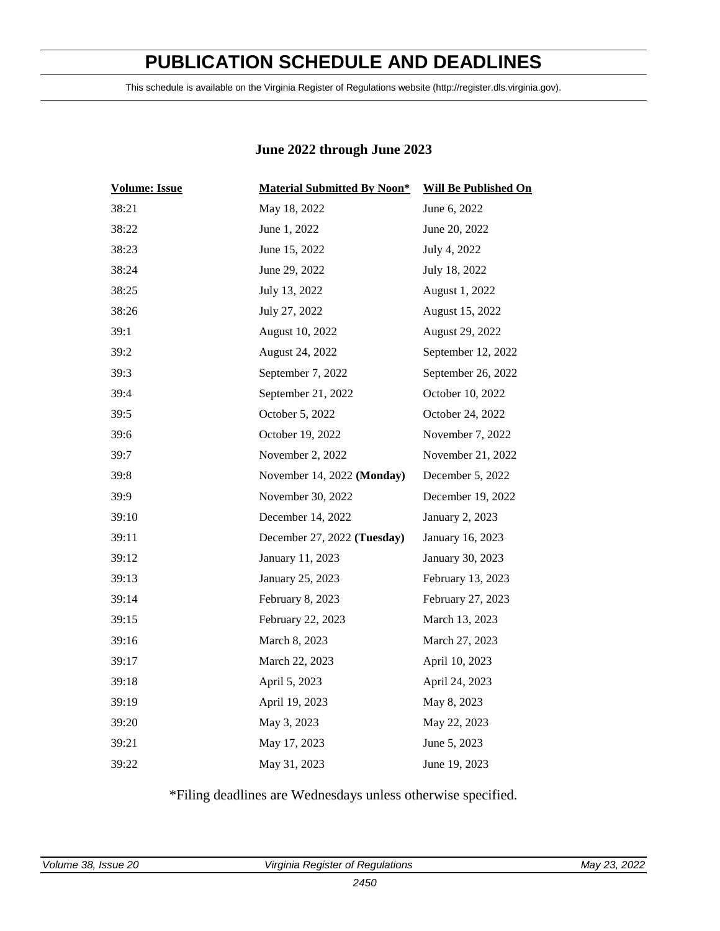# **PUBLICATION SCHEDULE AND DEADLINES**

<span id="page-3-0"></span>This schedule is available on the Virginia Register of Regulations website (http://register.dls.virginia.gov).

### **June 2022 through June 2023**

| <b>Volume: Issue</b> | <b>Material Submitted By Noon*</b> | <b>Will Be Published On</b> |
|----------------------|------------------------------------|-----------------------------|
| 38:21                | May 18, 2022                       | June 6, 2022                |
| 38:22                | June 1, 2022                       | June 20, 2022               |
| 38:23                | June 15, 2022                      | July 4, 2022                |
| 38:24                | June 29, 2022                      | July 18, 2022               |
| 38:25                | July 13, 2022                      | August 1, 2022              |
| 38:26                | July 27, 2022                      | August 15, 2022             |
| 39:1                 | August 10, 2022                    | August 29, 2022             |
| 39:2                 | August 24, 2022                    | September 12, 2022          |
| 39:3                 | September 7, 2022                  | September 26, 2022          |
| 39:4                 | September 21, 2022                 | October 10, 2022            |
| 39:5                 | October 5, 2022                    | October 24, 2022            |
| 39:6                 | October 19, 2022                   | November 7, 2022            |
| 39:7                 | November 2, 2022                   | November 21, 2022           |
| 39:8                 | November 14, 2022 (Monday)         | December 5, 2022            |
| 39:9                 | November 30, 2022                  | December 19, 2022           |
| 39:10                | December 14, 2022                  | January 2, 2023             |
| 39:11                | December 27, 2022 (Tuesday)        | January 16, 2023            |
| 39:12                | January 11, 2023                   | January 30, 2023            |
| 39:13                | January 25, 2023                   | February 13, 2023           |
| 39:14                | February 8, 2023                   | February 27, 2023           |
| 39:15                | February 22, 2023                  | March 13, 2023              |
| 39:16                | March 8, 2023                      | March 27, 2023              |
| 39:17                | March 22, 2023                     | April 10, 2023              |
| 39:18                | April 5, 2023                      | April 24, 2023              |
| 39:19                | April 19, 2023                     | May 8, 2023                 |
| 39:20                | May 3, 2023                        | May 22, 2023                |
| 39:21                | May 17, 2023                       | June 5, 2023                |
| 39:22                | May 31, 2023                       | June 19, 2023               |

\*Filing deadlines are Wednesdays unless otherwise specified.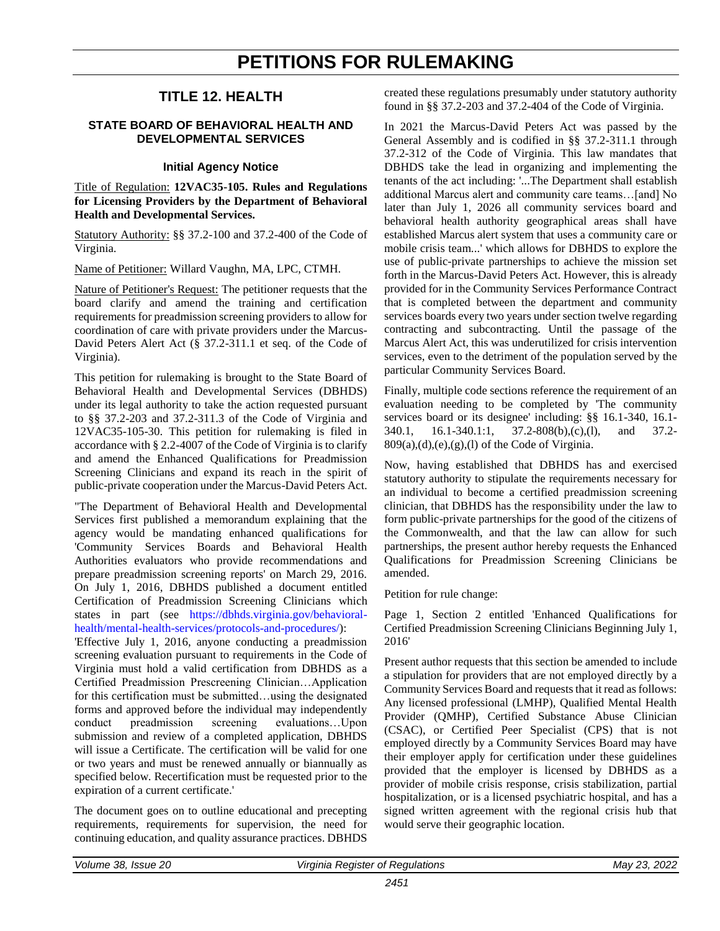# **PETITIONS FOR RULEMAKING**

### **TITLE 12. HEALTH**

#### <span id="page-4-0"></span>**STATE BOARD OF BEHAVIORAL HEALTH AND DEVELOPMENTAL SERVICES**

#### **Initial Agency Notice**

Title of Regulation: **12VAC35-105. Rules and Regulations for Licensing Providers by the Department of Behavioral Health and Developmental Services.**

Statutory Authority: §§ 37.2-100 and 37.2-400 of the Code of Virginia.

Name of Petitioner: Willard Vaughn, MA, LPC, CTMH.

Nature of Petitioner's Request: The petitioner requests that the board clarify and amend the training and certification requirements for preadmission screening providers to allow for coordination of care with private providers under the Marcus-David Peters Alert Act (§ 37.2-311.1 et seq. of the Code of Virginia).

This petition for rulemaking is brought to the State Board of Behavioral Health and Developmental Services (DBHDS) under its legal authority to take the action requested pursuant to §§ 37.2-203 and 37.2-311.3 of the Code of Virginia and 12VAC35-105-30. This petition for rulemaking is filed in accordance with § 2.2-4007 of the Code of Virginia is to clarify and amend the Enhanced Qualifications for Preadmission Screening Clinicians and expand its reach in the spirit of public-private cooperation under the Marcus-David Peters Act.

"The Department of Behavioral Health and Developmental Services first published a memorandum explaining that the agency would be mandating enhanced qualifications for 'Community Services Boards and Behavioral Health Authorities evaluators who provide recommendations and prepare preadmission screening reports' on March 29, 2016. On July 1, 2016, DBHDS published a document entitled Certification of Preadmission Screening Clinicians which states in part (see [https://dbhds.virginia.gov/behavioral](https://dbhds.virginia.gov/behavioral-health/mental-health-services/protocols-and-procedures/)[health/mental-health-services/protocols-and-procedures/\)](https://dbhds.virginia.gov/behavioral-health/mental-health-services/protocols-and-procedures/):

'Effective July 1, 2016, anyone conducting a preadmission screening evaluation pursuant to requirements in the Code of Virginia must hold a valid certification from DBHDS as a Certified Preadmission Prescreening Clinician…Application for this certification must be submitted…using the designated forms and approved before the individual may independently conduct preadmission screening evaluations…Upon submission and review of a completed application, DBHDS will issue a Certificate. The certification will be valid for one or two years and must be renewed annually or biannually as specified below. Recertification must be requested prior to the expiration of a current certificate.'

The document goes on to outline educational and precepting requirements, requirements for supervision, the need for continuing education, and quality assurance practices. DBHDS created these regulations presumably under statutory authority found in §§ 37.2-203 and 37.2-404 of the Code of Virginia.

In 2021 the Marcus-David Peters Act was passed by the General Assembly and is codified in §§ 37.2-311.1 through 37.2-312 of the Code of Virginia. This law mandates that DBHDS take the lead in organizing and implementing the tenants of the act including: '...The Department shall establish additional Marcus alert and community care teams…[and] No later than July 1, 2026 all community services board and behavioral health authority geographical areas shall have established Marcus alert system that uses a community care or mobile crisis team...' which allows for DBHDS to explore the use of public-private partnerships to achieve the mission set forth in the Marcus-David Peters Act. However, this is already provided for in the Community Services Performance Contract that is completed between the department and community services boards every two years under section twelve regarding contracting and subcontracting. Until the passage of the Marcus Alert Act, this was underutilized for crisis intervention services, even to the detriment of the population served by the particular Community Services Board.

Finally, multiple code sections reference the requirement of an evaluation needing to be completed by 'The community services board or its designee' including: §§ 16.1-340, 16.1- 340.1, 16.1-340.1:1, 37.2-808(b),(c),(l), and 37.2-  $809(a),(d),(e),(g),(l)$  of the Code of Virginia.

Now, having established that DBHDS has and exercised statutory authority to stipulate the requirements necessary for an individual to become a certified preadmission screening clinician, that DBHDS has the responsibility under the law to form public-private partnerships for the good of the citizens of the Commonwealth, and that the law can allow for such partnerships, the present author hereby requests the Enhanced Qualifications for Preadmission Screening Clinicians be amended.

Petition for rule change:

Page 1, Section 2 entitled 'Enhanced Qualifications for Certified Preadmission Screening Clinicians Beginning July 1, 2016'

Present author requests that this section be amended to include a stipulation for providers that are not employed directly by a Community Services Board and requests that it read as follows: Any licensed professional (LMHP), Qualified Mental Health Provider (QMHP), Certified Substance Abuse Clinician (CSAC), or Certified Peer Specialist (CPS) that is not employed directly by a Community Services Board may have their employer apply for certification under these guidelines provided that the employer is licensed by DBHDS as a provider of mobile crisis response, crisis stabilization, partial hospitalization, or is a licensed psychiatric hospital, and has a signed written agreement with the regional crisis hub that would serve their geographic location.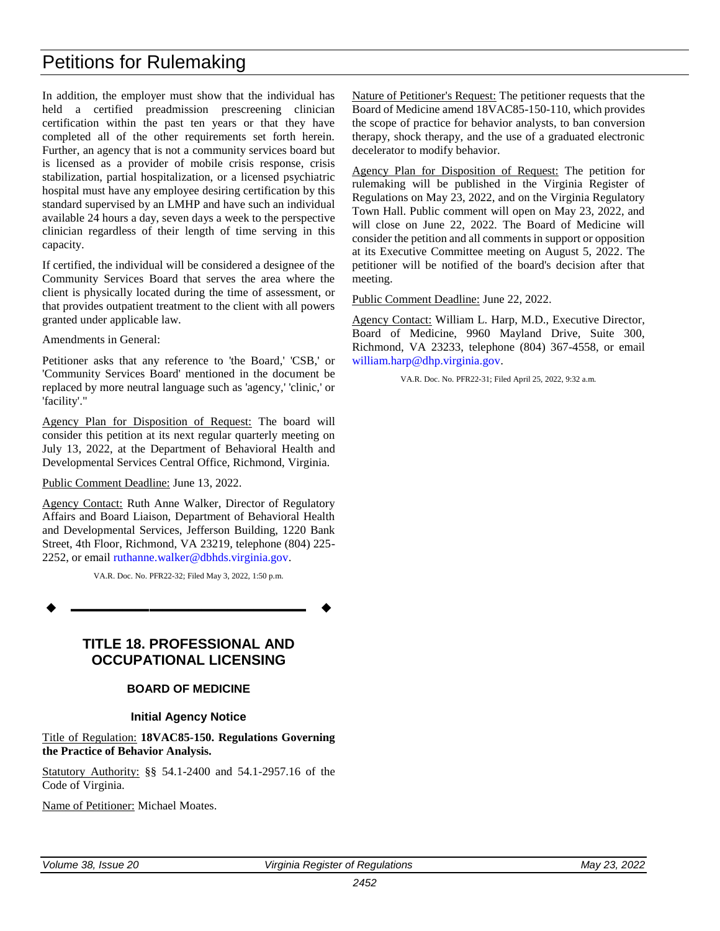# Petitions for Rulemaking

In addition, the employer must show that the individual has held a certified preadmission prescreening clinician certification within the past ten years or that they have completed all of the other requirements set forth herein. Further, an agency that is not a community services board but is licensed as a provider of mobile crisis response, crisis stabilization, partial hospitalization, or a licensed psychiatric hospital must have any employee desiring certification by this standard supervised by an LMHP and have such an individual available 24 hours a day, seven days a week to the perspective clinician regardless of their length of time serving in this capacity.

If certified, the individual will be considered a designee of the Community Services Board that serves the area where the client is physically located during the time of assessment, or that provides outpatient treatment to the client with all powers granted under applicable law.

Amendments in General:

Petitioner asks that any reference to 'the Board,' 'CSB,' or 'Community Services Board' mentioned in the document be replaced by more neutral language such as 'agency,' 'clinic,' or 'facility'."

Agency Plan for Disposition of Request: The board will consider this petition at its next regular quarterly meeting on July 13, 2022, at the Department of Behavioral Health and Developmental Services Central Office, Richmond, Virginia.

#### Public Comment Deadline: June 13, 2022.

Agency Contact: Ruth Anne Walker, Director of Regulatory Affairs and Board Liaison, Department of Behavioral Health and Developmental Services, Jefferson Building, 1220 Bank Street, 4th Floor, Richmond, VA 23219, telephone (804) 225- 2252, or email [ruthanne.walker@dbhds.virginia.gov.](mailto:ruthanne.walker@dbhds.virginia.gov)

VA.R. Doc. No. PFR22-32; Filed May 3, 2022, 1:50 p.m.

**––––––––––––––––––**

### **TITLE 18. PROFESSIONAL AND OCCUPATIONAL LICENSING**

#### **BOARD OF MEDICINE**

#### **Initial Agency Notice**

Title of Regulation: **18VAC85-150. Regulations Governing the Practice of Behavior Analysis.**

Statutory Authority: §§ 54.1-2400 and 54.1-2957.16 of the Code of Virginia.

Name of Petitioner: Michael Moates.

Nature of Petitioner's Request: The petitioner requests that the Board of Medicine amend 18VAC85-150-110, which provides the scope of practice for behavior analysts, to ban conversion therapy, shock therapy, and the use of a graduated electronic decelerator to modify behavior.

Agency Plan for Disposition of Request: The petition for rulemaking will be published in the Virginia Register of Regulations on May 23, 2022, and on the Virginia Regulatory Town Hall. Public comment will open on May 23, 2022, and will close on June 22, 2022. The Board of Medicine will consider the petition and all comments in support or opposition at its Executive Committee meeting on August 5, 2022. The petitioner will be notified of the board's decision after that meeting.

Public Comment Deadline: June 22, 2022.

Agency Contact: William L. Harp, M.D., Executive Director, Board of Medicine, 9960 Mayland Drive, Suite 300, Richmond, VA 23233, telephone (804) 367-4558, or email [william.harp@dhp.virginia.gov.](mailto:william.harp@dhp.virginia.gov)

VA.R. Doc. No. PFR22-31; Filed April 25, 2022, 9:32 a.m.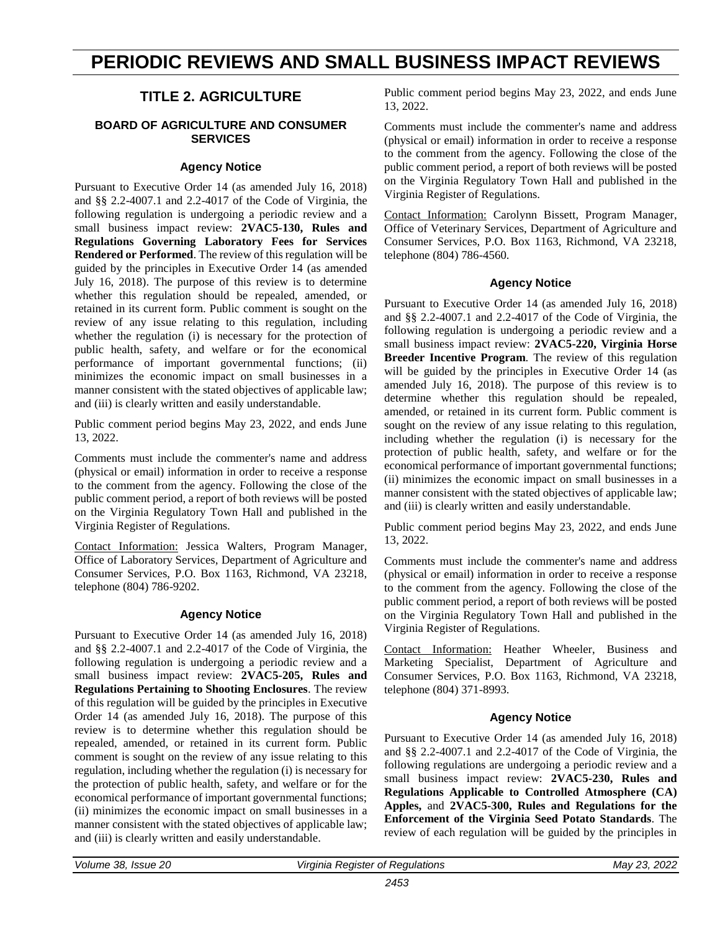# <span id="page-6-0"></span>**PERIODIC REVIEWS AND SMALL BUSINESS IMPACT REVIEWS**

### **TITLE 2. AGRICULTURE**

#### **BOARD OF AGRICULTURE AND CONSUMER SERVICES**

#### **Agency Notice**

Pursuant to Executive Order 14 (as amended July 16, 2018) and §§ 2.2-4007.1 and 2.2-4017 of the Code of Virginia, the following regulation is undergoing a periodic review and a small business impact review: **2VAC5-130, Rules and Regulations Governing Laboratory Fees for Services Rendered or Performed**. The review of this regulation will be guided by the principles in Executive Order 14 (as amended July 16, 2018). The purpose of this review is to determine whether this regulation should be repealed, amended, or retained in its current form. Public comment is sought on the review of any issue relating to this regulation, including whether the regulation (i) is necessary for the protection of public health, safety, and welfare or for the economical performance of important governmental functions; (ii) minimizes the economic impact on small businesses in a manner consistent with the stated objectives of applicable law; and (iii) is clearly written and easily understandable.

Public comment period begins May 23, 2022, and ends June 13, 2022.

Comments must include the commenter's name and address (physical or email) information in order to receive a response to the comment from the agency. Following the close of the public comment period, a report of both reviews will be posted on the Virginia Regulatory Town Hall and published in the Virginia Register of Regulations.

Contact Information: Jessica Walters, Program Manager, Office of Laboratory Services, Department of Agriculture and Consumer Services, P.O. Box 1163, Richmond, VA 23218, telephone (804) 786-9202.

#### **Agency Notice**

Pursuant to Executive Order 14 (as amended July 16, 2018) and §§ 2.2-4007.1 and 2.2-4017 of the Code of Virginia, the following regulation is undergoing a periodic review and a small business impact review: **2VAC5-205, Rules and Regulations Pertaining to Shooting Enclosures**. The review of this regulation will be guided by the principles in Executive Order 14 (as amended July 16, 2018). The purpose of this review is to determine whether this regulation should be repealed, amended, or retained in its current form. Public comment is sought on the review of any issue relating to this regulation, including whether the regulation (i) is necessary for the protection of public health, safety, and welfare or for the economical performance of important governmental functions; (ii) minimizes the economic impact on small businesses in a manner consistent with the stated objectives of applicable law; and (iii) is clearly written and easily understandable.

Public comment period begins May 23, 2022, and ends June 13, 2022.

Comments must include the commenter's name and address (physical or email) information in order to receive a response to the comment from the agency. Following the close of the public comment period, a report of both reviews will be posted on the Virginia Regulatory Town Hall and published in the Virginia Register of Regulations.

Contact Information: Carolynn Bissett, Program Manager, Office of Veterinary Services, Department of Agriculture and Consumer Services, P.O. Box 1163, Richmond, VA 23218, telephone (804) 786-4560.

#### **Agency Notice**

Pursuant to Executive Order 14 (as amended July 16, 2018) and §§ 2.2-4007.1 and 2.2-4017 of the Code of Virginia, the following regulation is undergoing a periodic review and a small business impact review: **2VAC5-220, Virginia Horse Breeder Incentive Program**. The review of this regulation will be guided by the principles in Executive Order 14 (as amended July 16, 2018). The purpose of this review is to determine whether this regulation should be repealed, amended, or retained in its current form. Public comment is sought on the review of any issue relating to this regulation, including whether the regulation (i) is necessary for the protection of public health, safety, and welfare or for the economical performance of important governmental functions; (ii) minimizes the economic impact on small businesses in a manner consistent with the stated objectives of applicable law; and (iii) is clearly written and easily understandable.

Public comment period begins May 23, 2022, and ends June 13, 2022.

Comments must include the commenter's name and address (physical or email) information in order to receive a response to the comment from the agency. Following the close of the public comment period, a report of both reviews will be posted on the Virginia Regulatory Town Hall and published in the Virginia Register of Regulations.

Contact Information: Heather Wheeler, Business and Marketing Specialist, Department of Agriculture and Consumer Services, P.O. Box 1163, Richmond, VA 23218, telephone (804) 371-8993.

#### **Agency Notice**

Pursuant to Executive Order 14 (as amended July 16, 2018) and §§ 2.2-4007.1 and 2.2-4017 of the Code of Virginia, the following regulations are undergoing a periodic review and a small business impact review: **2VAC5-230, Rules and Regulations Applicable to Controlled Atmosphere (CA) Apples,** and **2VAC5-300, Rules and Regulations for the Enforcement of the Virginia Seed Potato Standards**. The review of each regulation will be guided by the principles in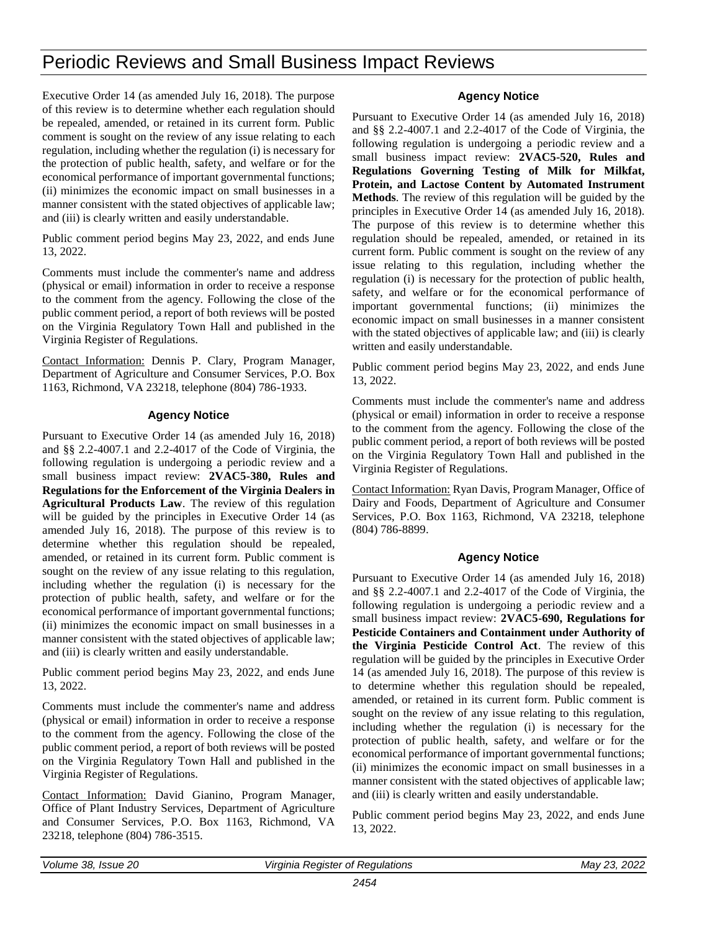# Periodic Reviews and Small Business Impact Reviews

Executive Order 14 (as amended July 16, 2018). The purpose of this review is to determine whether each regulation should be repealed, amended, or retained in its current form. Public comment is sought on the review of any issue relating to each regulation, including whether the regulation (i) is necessary for the protection of public health, safety, and welfare or for the economical performance of important governmental functions; (ii) minimizes the economic impact on small businesses in a manner consistent with the stated objectives of applicable law; and (iii) is clearly written and easily understandable.

Public comment period begins May 23, 2022, and ends June 13, 2022.

Comments must include the commenter's name and address (physical or email) information in order to receive a response to the comment from the agency. Following the close of the public comment period, a report of both reviews will be posted on the Virginia Regulatory Town Hall and published in the Virginia Register of Regulations.

Contact Information: Dennis P. Clary, Program Manager, Department of Agriculture and Consumer Services, P.O. Box 1163, Richmond, VA 23218, telephone (804) 786-1933.

#### **Agency Notice**

Pursuant to Executive Order 14 (as amended July 16, 2018) and §§ 2.2-4007.1 and 2.2-4017 of the Code of Virginia, the following regulation is undergoing a periodic review and a small business impact review: **2VAC5-380, Rules and Regulations for the Enforcement of the Virginia Dealers in Agricultural Products Law**. The review of this regulation will be guided by the principles in Executive Order 14 (as amended July 16, 2018). The purpose of this review is to determine whether this regulation should be repealed, amended, or retained in its current form. Public comment is sought on the review of any issue relating to this regulation, including whether the regulation (i) is necessary for the protection of public health, safety, and welfare or for the economical performance of important governmental functions; (ii) minimizes the economic impact on small businesses in a manner consistent with the stated objectives of applicable law; and (iii) is clearly written and easily understandable.

Public comment period begins May 23, 2022, and ends June 13, 2022.

Comments must include the commenter's name and address (physical or email) information in order to receive a response to the comment from the agency. Following the close of the public comment period, a report of both reviews will be posted on the Virginia Regulatory Town Hall and published in the Virginia Register of Regulations.

Contact Information: David Gianino, Program Manager, Office of Plant Industry Services, Department of Agriculture and Consumer Services, P.O. Box 1163, Richmond, VA 23218, telephone (804) 786-3515.

#### **Agency Notice**

Pursuant to Executive Order 14 (as amended July 16, 2018) and §§ 2.2-4007.1 and 2.2-4017 of the Code of Virginia, the following regulation is undergoing a periodic review and a small business impact review: **2VAC5-520, Rules and Regulations Governing Testing of Milk for Milkfat, Protein, and Lactose Content by Automated Instrument Methods**. The review of this regulation will be guided by the principles in Executive Order 14 (as amended July 16, 2018). The purpose of this review is to determine whether this regulation should be repealed, amended, or retained in its current form. Public comment is sought on the review of any issue relating to this regulation, including whether the regulation (i) is necessary for the protection of public health, safety, and welfare or for the economical performance of important governmental functions; (ii) minimizes the economic impact on small businesses in a manner consistent with the stated objectives of applicable law; and (iii) is clearly written and easily understandable.

Public comment period begins May 23, 2022, and ends June 13, 2022.

Comments must include the commenter's name and address (physical or email) information in order to receive a response to the comment from the agency. Following the close of the public comment period, a report of both reviews will be posted on the Virginia Regulatory Town Hall and published in the Virginia Register of Regulations.

Contact Information: Ryan Davis, Program Manager, Office of Dairy and Foods, Department of Agriculture and Consumer Services, P.O. Box 1163, Richmond, VA 23218, telephone (804) 786-8899.

#### **Agency Notice**

Pursuant to Executive Order 14 (as amended July 16, 2018) and §§ 2.2-4007.1 and 2.2-4017 of the Code of Virginia, the following regulation is undergoing a periodic review and a small business impact review: **2VAC5-690, Regulations for Pesticide Containers and Containment under Authority of the Virginia Pesticide Control Act**. The review of this regulation will be guided by the principles in Executive Order 14 (as amended July 16, 2018). The purpose of this review is to determine whether this regulation should be repealed, amended, or retained in its current form. Public comment is sought on the review of any issue relating to this regulation, including whether the regulation (i) is necessary for the protection of public health, safety, and welfare or for the economical performance of important governmental functions; (ii) minimizes the economic impact on small businesses in a manner consistent with the stated objectives of applicable law; and (iii) is clearly written and easily understandable.

Public comment period begins May 23, 2022, and ends June 13, 2022.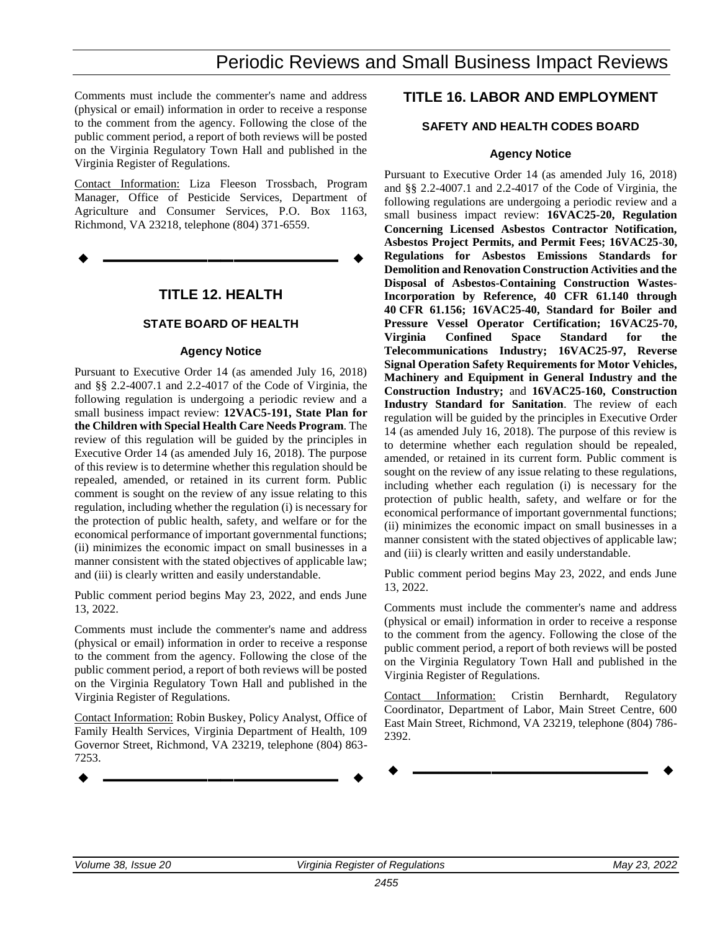# Periodic Reviews and Small Business Impact Reviews

Comments must include the commenter's name and address (physical or email) information in order to receive a response to the comment from the agency. Following the close of the public comment period, a report of both reviews will be posted on the Virginia Regulatory Town Hall and published in the Virginia Register of Regulations.

Contact Information: Liza Fleeson Trossbach, Program Manager, Office of Pesticide Services, Department of Agriculture and Consumer Services, P.O. Box 1163, Richmond, VA 23218, telephone (804) 371-6559.

**––––––––––––––––––**

### **TITLE 12. HEALTH**

#### **STATE BOARD OF HEALTH**

#### **Agency Notice**

Pursuant to Executive Order 14 (as amended July 16, 2018) and §§ 2.2-4007.1 and 2.2-4017 of the Code of Virginia, the following regulation is undergoing a periodic review and a small business impact review: **12VAC5-191, State Plan for the Children with Special Health Care Needs Program**. The review of this regulation will be guided by the principles in Executive Order 14 (as amended July 16, 2018). The purpose of this review is to determine whether this regulation should be repealed, amended, or retained in its current form. Public comment is sought on the review of any issue relating to this regulation, including whether the regulation (i) is necessary for the protection of public health, safety, and welfare or for the economical performance of important governmental functions; (ii) minimizes the economic impact on small businesses in a manner consistent with the stated objectives of applicable law; and (iii) is clearly written and easily understandable.

Public comment period begins May 23, 2022, and ends June 13, 2022.

Comments must include the commenter's name and address (physical or email) information in order to receive a response to the comment from the agency. Following the close of the public comment period, a report of both reviews will be posted on the Virginia Regulatory Town Hall and published in the Virginia Register of Regulations.

Contact Information: Robin Buskey, Policy Analyst, Office of Family Health Services, Virginia Department of Health, 109 Governor Street, Richmond, VA 23219, telephone (804) 863- 7253.

### **TITLE 16. LABOR AND EMPLOYMENT**

#### **SAFETY AND HEALTH CODES BOARD**

#### **Agency Notice**

Pursuant to Executive Order 14 (as amended July 16, 2018) and §§ 2.2-4007.1 and 2.2-4017 of the Code of Virginia, the following regulations are undergoing a periodic review and a small business impact review: **16VAC25-20, Regulation Concerning Licensed Asbestos Contractor Notification, Asbestos Project Permits, and Permit Fees; 16VAC25-30, Regulations for Asbestos Emissions Standards for Demolition and Renovation Construction Activities and the Disposal of Asbestos-Containing Construction Wastes-Incorporation by Reference, 40 CFR 61.140 through 40 CFR 61.156; 16VAC25-40, Standard for Boiler and Pressure Vessel Operator Certification; 16VAC25-70, Virginia Confined Space Standard for the Telecommunications Industry; 16VAC25-97, Reverse Signal Operation Safety Requirements for Motor Vehicles, Machinery and Equipment in General Industry and the Construction Industry;** and **16VAC25-160, Construction Industry Standard for Sanitation**. The review of each regulation will be guided by the principles in Executive Order 14 (as amended July 16, 2018). The purpose of this review is to determine whether each regulation should be repealed, amended, or retained in its current form. Public comment is sought on the review of any issue relating to these regulations, including whether each regulation (i) is necessary for the protection of public health, safety, and welfare or for the economical performance of important governmental functions; (ii) minimizes the economic impact on small businesses in a manner consistent with the stated objectives of applicable law; and (iii) is clearly written and easily understandable.

Public comment period begins May 23, 2022, and ends June 13, 2022.

Comments must include the commenter's name and address (physical or email) information in order to receive a response to the comment from the agency. Following the close of the public comment period, a report of both reviews will be posted on the Virginia Regulatory Town Hall and published in the Virginia Register of Regulations.

Contact Information: Cristin Bernhardt, Regulatory Coordinator, Department of Labor, Main Street Centre, 600 East Main Street, Richmond, VA 23219, telephone (804) 786- 2392.

**––––––––––––––––––**

**––––––––––––––––––**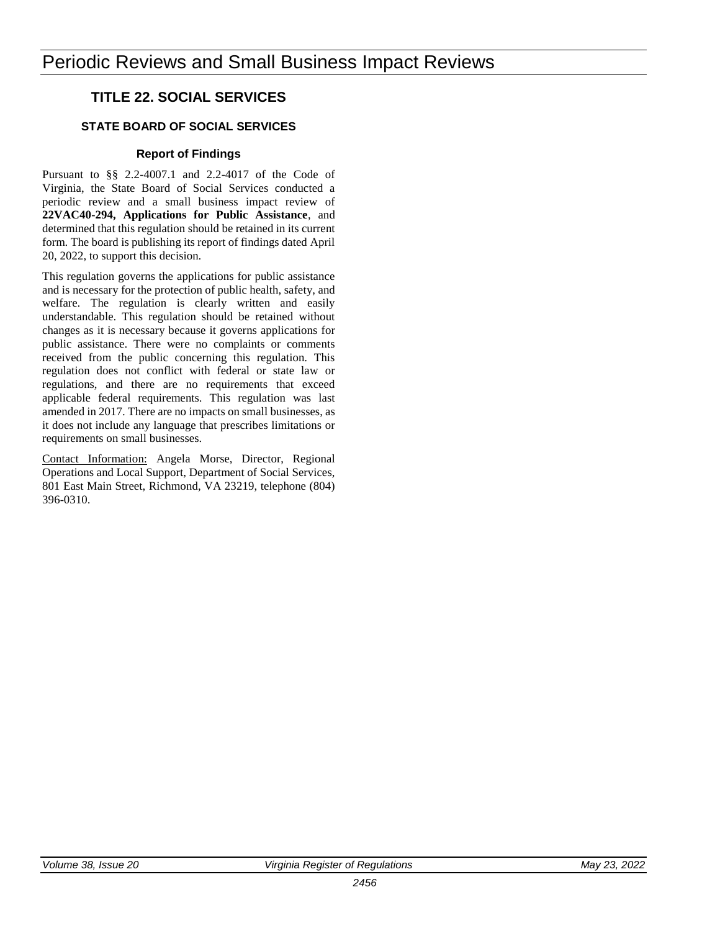### **TITLE 22. SOCIAL SERVICES**

### **STATE BOARD OF SOCIAL SERVICES**

#### **Report of Findings**

Pursuant to §§ 2.2-4007.1 and 2.2-4017 of the Code of Virginia, the State Board of Social Services conducted a periodic review and a small business impact review of **22VAC40-294, Applications for Public Assistance**, and determined that this regulation should be retained in its current form. The board is publishing its report of findings dated April 20, 2022, to support this decision.

This regulation governs the applications for public assistance and is necessary for the protection of public health, safety, and welfare. The regulation is clearly written and easily understandable. This regulation should be retained without changes as it is necessary because it governs applications for public assistance. There were no complaints or comments received from the public concerning this regulation. This regulation does not conflict with federal or state law or regulations, and there are no requirements that exceed applicable federal requirements. This regulation was last amended in 2017. There are no impacts on small businesses, as it does not include any language that prescribes limitations or requirements on small businesses.

Contact Information: Angela Morse, Director, Regional Operations and Local Support, Department of Social Services, 801 East Main Street, Richmond, VA 23219, telephone (804) 396-0310.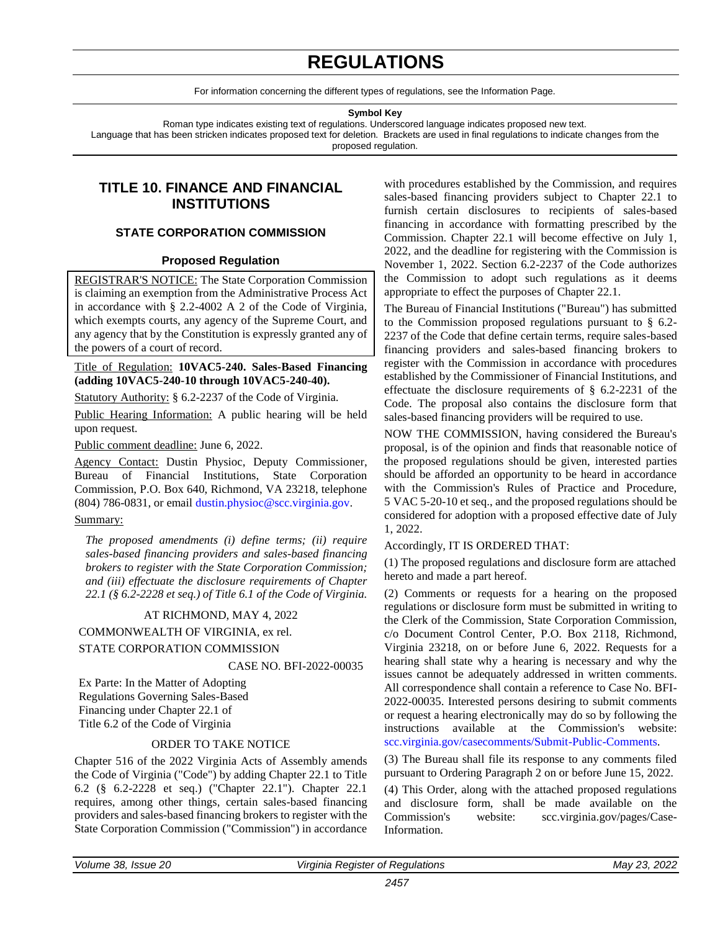# **REGULATIONS**

For information concerning the different types of regulations, see the Information Page.

**Symbol Key**

Roman type indicates existing text of regulations. Underscored language indicates proposed new text.

<span id="page-10-0"></span>Language that has been stricken indicates proposed text for deletion. Brackets are used in final regulations to indicate changes from the proposed regulation.

### **TITLE 10. FINANCE AND FINANCIAL INSTITUTIONS**

#### **STATE CORPORATION COMMISSION**

#### **Proposed Regulation**

REGISTRAR'S NOTICE: The State Corporation Commission is claiming an exemption from the Administrative Process Act in accordance with § 2.2-4002 A 2 of the Code of Virginia, which exempts courts, any agency of the Supreme Court, and any agency that by the Constitution is expressly granted any of the powers of a court of record.

Title of Regulation: **10VAC5-240. Sales-Based Financing (adding 10VAC5-240-10 through 10VAC5-240-40).**

Statutory Authority: § 6.2-2237 of the Code of Virginia.

Public Hearing Information: A public hearing will be held upon request.

Public comment deadline: June 6, 2022.

Agency Contact: Dustin Physioc, Deputy Commissioner, Bureau of Financial Institutions, State Corporation Commission, P.O. Box 640, Richmond, VA 23218, telephone (804) 786-0831, or email [dustin.physioc@scc.virginia.gov.](mailto:dustin.physioc@scc.virginia.gov)

#### Summary:

*The proposed amendments (i) define terms; (ii) require sales-based financing providers and sales-based financing brokers to register with the State Corporation Commission; and (iii) effectuate the disclosure requirements of Chapter 22.1 (§ 6.2-2228 et seq.) of Title 6.1 of the Code of Virginia.*

#### AT RICHMOND, MAY 4, 2022

COMMONWEALTH OF VIRGINIA, ex rel.

#### STATE CORPORATION COMMISSION

CASE NO. BFI-2022-00035

Ex Parte: In the Matter of Adopting Regulations Governing Sales-Based Financing under Chapter 22.1 of Title 6.2 of the Code of Virginia

#### ORDER TO TAKE NOTICE

Chapter 516 of the 2022 Virginia Acts of Assembly amends the Code of Virginia ("Code") by adding Chapter 22.1 to Title 6.2 (§ 6.2-2228 et seq.) ("Chapter 22.1"). Chapter 22.1 requires, among other things, certain sales-based financing providers and sales-based financing brokers to register with the State Corporation Commission ("Commission") in accordance

with procedures established by the Commission, and requires sales-based financing providers subject to Chapter 22.1 to furnish certain disclosures to recipients of sales-based financing in accordance with formatting prescribed by the Commission. Chapter 22.1 will become effective on July 1, 2022, and the deadline for registering with the Commission is November 1, 2022. Section 6.2-2237 of the Code authorizes the Commission to adopt such regulations as it deems appropriate to effect the purposes of Chapter 22.1.

The Bureau of Financial Institutions ("Bureau") has submitted to the Commission proposed regulations pursuant to § 6.2- 2237 of the Code that define certain terms, require sales-based financing providers and sales-based financing brokers to register with the Commission in accordance with procedures established by the Commissioner of Financial Institutions, and effectuate the disclosure requirements of § 6.2-2231 of the Code. The proposal also contains the disclosure form that sales-based financing providers will be required to use.

NOW THE COMMISSION, having considered the Bureau's proposal, is of the opinion and finds that reasonable notice of the proposed regulations should be given, interested parties should be afforded an opportunity to be heard in accordance with the Commission's Rules of Practice and Procedure, 5 VAC 5-20-10 et seq., and the proposed regulations should be considered for adoption with a proposed effective date of July 1, 2022.

#### Accordingly, IT IS ORDERED THAT:

(1) The proposed regulations and disclosure form are attached hereto and made a part hereof.

(2) Comments or requests for a hearing on the proposed regulations or disclosure form must be submitted in writing to the Clerk of the Commission, State Corporation Commission, c/o Document Control Center, P.O. Box 2118, Richmond, Virginia 23218, on or before June 6, 2022. Requests for a hearing shall state why a hearing is necessary and why the issues cannot be adequately addressed in written comments. All correspondence shall contain a reference to Case No. BFI-2022-00035. Interested persons desiring to submit comments or request a hearing electronically may do so by following the instructions available at the Commission's website: [scc.virginia.gov/casecomments/Submit-Public-Comments.](scc.virginia.gov/casecomments/Submit-Public-Comments)

(3) The Bureau shall file its response to any comments filed pursuant to Ordering Paragraph 2 on or before June 15, 2022.

(4) This Order, along with the attached proposed regulations and disclosure form, shall be made available on the Commission's website: scc.virginia.gov/pages/Case-Information.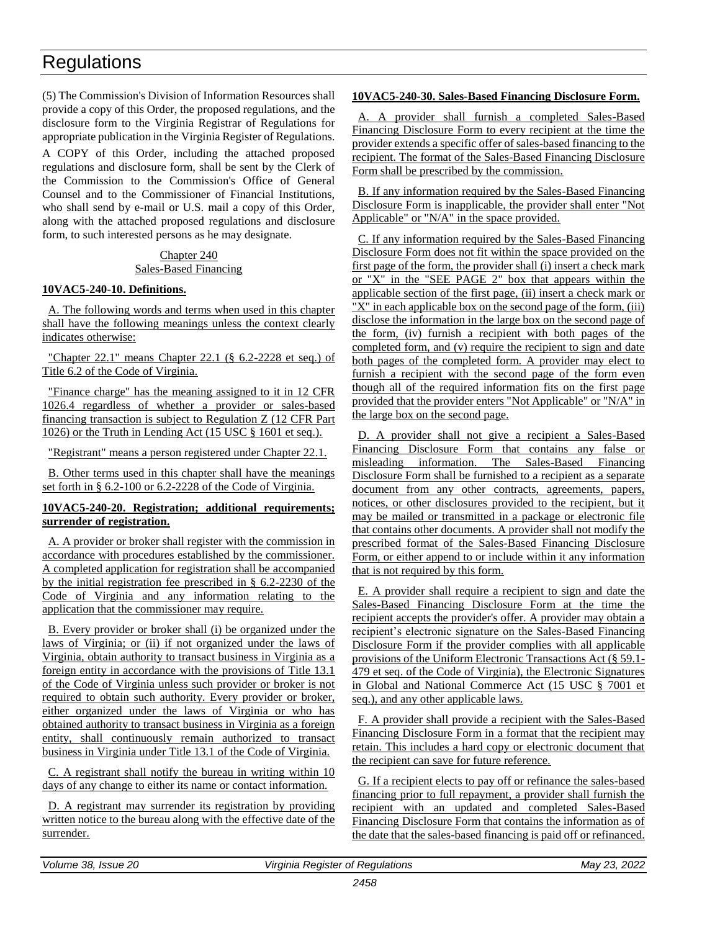# **Regulations**

(5) The Commission's Division of Information Resources shall provide a copy of this Order, the proposed regulations, and the disclosure form to the Virginia Registrar of Regulations for appropriate publication in the Virginia Register of Regulations.

A COPY of this Order, including the attached proposed regulations and disclosure form, shall be sent by the Clerk of the Commission to the Commission's Office of General Counsel and to the Commissioner of Financial Institutions, who shall send by e-mail or U.S. mail a copy of this Order, along with the attached proposed regulations and disclosure form, to such interested persons as he may designate.

#### Chapter 240 Sales-Based Financing

#### **10VAC5-240-10. Definitions.**

A. The following words and terms when used in this chapter shall have the following meanings unless the context clearly indicates otherwise:

"Chapter 22.1" means Chapter 22.1 (§ 6.2-2228 et seq.) of Title 6.2 of the Code of Virginia.

"Finance charge" has the meaning assigned to it in 12 CFR 1026.4 regardless of whether a provider or sales-based financing transaction is subject to Regulation Z (12 CFR Part 1026) or the Truth in Lending Act (15 USC § 1601 et seq.).

"Registrant" means a person registered under Chapter 22.1.

B. Other terms used in this chapter shall have the meanings set forth in § 6.2-100 or 6.2-2228 of the Code of Virginia.

#### **10VAC5-240-20. Registration; additional requirements; surrender of registration.**

A. A provider or broker shall register with the commission in accordance with procedures established by the commissioner. A completed application for registration shall be accompanied by the initial registration fee prescribed in § 6.2-2230 of the Code of Virginia and any information relating to the application that the commissioner may require.

B. Every provider or broker shall (i) be organized under the laws of Virginia; or (ii) if not organized under the laws of Virginia, obtain authority to transact business in Virginia as a foreign entity in accordance with the provisions of Title 13.1 of the Code of Virginia unless such provider or broker is not required to obtain such authority. Every provider or broker, either organized under the laws of Virginia or who has obtained authority to transact business in Virginia as a foreign entity, shall continuously remain authorized to transact business in Virginia under Title 13.1 of the Code of Virginia.

C. A registrant shall notify the bureau in writing within 10 days of any change to either its name or contact information.

D. A registrant may surrender its registration by providing written notice to the bureau along with the effective date of the surrender.

#### **10VAC5-240-30. Sales-Based Financing Disclosure Form.**

A. A provider shall furnish a completed Sales-Based Financing Disclosure Form to every recipient at the time the provider extends a specific offer of sales-based financing to the recipient. The format of the Sales-Based Financing Disclosure Form shall be prescribed by the commission.

B. If any information required by the Sales-Based Financing Disclosure Form is inapplicable, the provider shall enter "Not Applicable" or "N/A" in the space provided.

C. If any information required by the Sales-Based Financing Disclosure Form does not fit within the space provided on the first page of the form, the provider shall (i) insert a check mark or "X" in the "SEE PAGE 2" box that appears within the applicable section of the first page, (ii) insert a check mark or "X" in each applicable box on the second page of the form, (iii) disclose the information in the large box on the second page of the form, (iv) furnish a recipient with both pages of the completed form, and (v) require the recipient to sign and date both pages of the completed form. A provider may elect to furnish a recipient with the second page of the form even though all of the required information fits on the first page provided that the provider enters "Not Applicable" or "N/A" in the large box on the second page.

D. A provider shall not give a recipient a Sales-Based Financing Disclosure Form that contains any false or misleading information. The Sales-Based Financing Disclosure Form shall be furnished to a recipient as a separate document from any other contracts, agreements, papers, notices, or other disclosures provided to the recipient, but it may be mailed or transmitted in a package or electronic file that contains other documents. A provider shall not modify the prescribed format of the Sales-Based Financing Disclosure Form, or either append to or include within it any information that is not required by this form.

E. A provider shall require a recipient to sign and date the Sales-Based Financing Disclosure Form at the time the recipient accepts the provider's offer. A provider may obtain a recipient's electronic signature on the Sales-Based Financing Disclosure Form if the provider complies with all applicable provisions of the Uniform Electronic Transactions Act (§ 59.1- 479 et seq. of the Code of Virginia), the Electronic Signatures in Global and National Commerce Act (15 USC § 7001 et seq.), and any other applicable laws.

F. A provider shall provide a recipient with the Sales-Based Financing Disclosure Form in a format that the recipient may retain. This includes a hard copy or electronic document that the recipient can save for future reference.

G. If a recipient elects to pay off or refinance the sales-based financing prior to full repayment, a provider shall furnish the recipient with an updated and completed Sales-Based Financing Disclosure Form that contains the information as of the date that the sales-based financing is paid off or refinanced.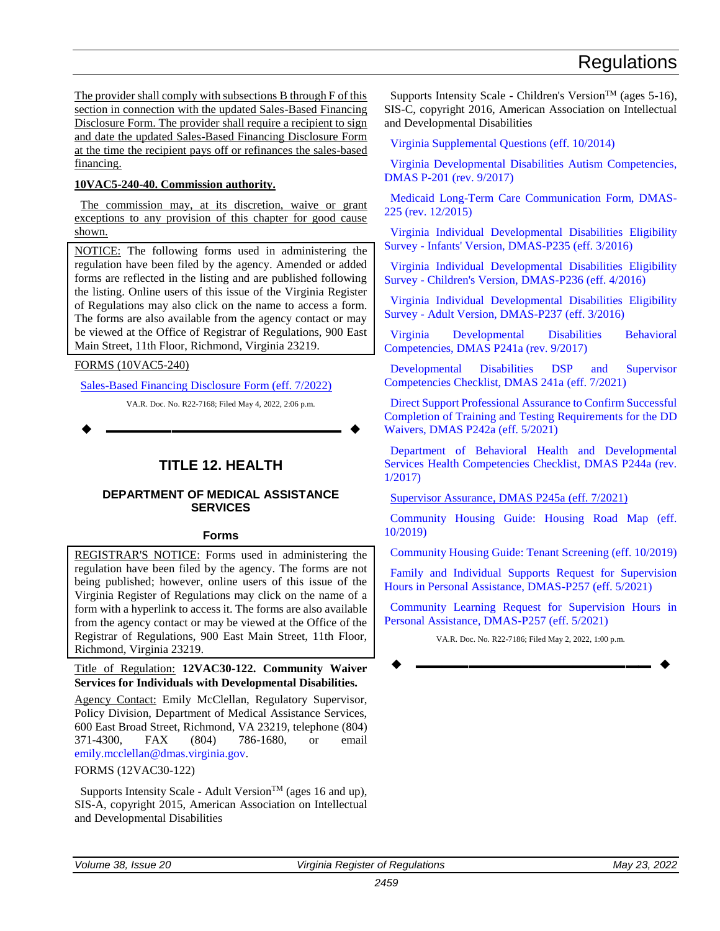<span id="page-12-0"></span>The provider shall comply with subsections B through F of this section in connection with the updated Sales-Based Financing Disclosure Form. The provider shall require a recipient to sign and date the updated Sales-Based Financing Disclosure Form at the time the recipient pays off or refinances the sales-based financing.

#### **10VAC5-240-40. Commission authority.**

The commission may, at its discretion, waive or grant exceptions to any provision of this chapter for good cause shown.

NOTICE: The following forms used in administering the regulation have been filed by the agency. Amended or added forms are reflected in the listing and are published following the listing. Online users of this issue of the Virginia Register of Regulations may also click on the name to access a form. The forms are also available from the agency contact or may be viewed at the Office of Registrar of Regulations, 900 East Main Street, 11th Floor, Richmond, Virginia 23219.

FORMS (10VAC5-240)

[Sales-Based Financing Disclosure Form \(eff. 7/2022\)](https://ris.dls.virginia.gov/uploads/10VAC5/forms/Sales-Based%20Financing%20Disclosure%20Form-20220503090011.pdf)

VA.R. Doc. No. R22-7168; Filed May 4, 2022, 2:06 p.m.

**––––––––––––––––––**

### **TITLE 12. HEALTH**

#### **DEPARTMENT OF MEDICAL ASSISTANCE SERVICES**

#### **Forms**

REGISTRAR'S NOTICE: Forms used in administering the regulation have been filed by the agency. The forms are not being published; however, online users of this issue of the Virginia Register of Regulations may click on the name of a form with a hyperlink to access it. The forms are also available from the agency contact or may be viewed at the Office of the Registrar of Regulations, 900 East Main Street, 11th Floor, Richmond, Virginia 23219.

Title of Regulation: **12VAC30-122. Community Waiver Services for Individuals with Developmental Disabilities.**

Agency Contact: Emily McClellan, Regulatory Supervisor, Policy Division, Department of Medical Assistance Services, 600 East Broad Street, Richmond, VA 23219, telephone (804) 371-4300, FAX (804) 786-1680, or email [emily.mcclellan@dmas.virginia.gov.](mailto:emily.mcclellan@dmas.virginia.gov)

#### FORMS (12VAC30-122)

Supports Intensity Scale - Adult Version<sup>TM</sup> (ages 16 and up), SIS-A, copyright 2015, American Association on Intellectual and Developmental Disabilities

Supports Intensity Scale - Children's Version<sup>TM</sup> (ages 5-16), SIS-C, copyright 2016, American Association on Intellectual and Developmental Disabilities

[Virginia Supplemental Questions \(eff. 10/2014\)](http://leg5.state.va.us/reg_agent/frmView.aspx?Viewid=c2b90004614~314.pdf&typ=40&actno=004614&mime=application/pdf)

[Virginia Developmental Disabilities Autism Competencies,](https://ris.dls.virginia.gov/uploads/12VAC30/forms/Virginia%20Developmental%20Disabilities%20Autism%20Competencies,%20DMAS%20P-201%20(rev.%209-2017)-20220502153746.pdf)  [DMAS P-201 \(rev. 9/2017\)](https://ris.dls.virginia.gov/uploads/12VAC30/forms/Virginia%20Developmental%20Disabilities%20Autism%20Competencies,%20DMAS%20P-201%20(rev.%209-2017)-20220502153746.pdf)

[Medicaid Long-Term Care Communication Form, DMAS-](http://leg5.state.va.us/reg_agent/frmView.aspx?Viewid=ad385004614~315.pdf&typ=40&actno=004614&mime=application/pdf)[225 \(rev. 12/2015\)](http://leg5.state.va.us/reg_agent/frmView.aspx?Viewid=ad385004614~315.pdf&typ=40&actno=004614&mime=application/pdf)

[Virginia Individual Developmental Disabilities Eligibility](http://leg5.state.va.us/reg_agent/frmView.aspx?Viewid=3597e004614~225.pdf&typ=40&actno=004614&mime=application/pdf)  Survey - [Infants' Version, DMAS-P235 \(eff. 3/2016\)](http://leg5.state.va.us/reg_agent/frmView.aspx?Viewid=3597e004614~225.pdf&typ=40&actno=004614&mime=application/pdf)

[Virginia Individual Developmental Disabilities Eligibility](http://leg5.state.va.us/reg_agent/frmView.aspx?Viewid=de3de004614~236.pdf&typ=40&actno=004614&mime=application/pdf) Survey - [Children's Version, DMAS-P236 \(eff. 4/2016\)](http://leg5.state.va.us/reg_agent/frmView.aspx?Viewid=de3de004614~236.pdf&typ=40&actno=004614&mime=application/pdf)

[Virginia Individual Developmental Disabilities Eligibility](http://leg5.state.va.us/reg_agent/frmView.aspx?Viewid=01f96004614~247.pdf&typ=40&actno=004614&mime=application/pdf)  Survey - [Adult Version, DMAS-P237 \(eff. 3/2016\)](http://leg5.state.va.us/reg_agent/frmView.aspx?Viewid=01f96004614~247.pdf&typ=40&actno=004614&mime=application/pdf)

[Virginia Developmental Disabilities Behavioral](https://ris.dls.virginia.gov/uploads/12VAC30/forms/VA%20DD%20Behavioral%20Competencies%209.1.17%20final-20210917145720-20220502153858.pdf)  [Competencies, DMAS P241a \(rev. 9/2017\)](https://ris.dls.virginia.gov/uploads/12VAC30/forms/VA%20DD%20Behavioral%20Competencies%209.1.17%20final-20210917145720-20220502153858.pdf)

[Developmental Disabilities DSP and Supervisor](https://ris.dls.virginia.gov/uploads/12VAC30/forms/Supervisor%20Assurance%20(DMAS%20P245a)%207.1.21%20(2)-20220502101721-20220502153944.pdf)  [Competencies Checklist, DMAS 241a \(eff. 7/2021\)](https://ris.dls.virginia.gov/uploads/12VAC30/forms/Supervisor%20Assurance%20(DMAS%20P245a)%207.1.21%20(2)-20220502101721-20220502153944.pdf)

[Direct Support Professional Assurance to Confirm Successful](https://ris.dls.virginia.gov/uploads/12VAC30/forms/DSP%20Assurance%20(DMAS%20P242a)%207.1.21-20210723132210-20210726131039.pdf)  [Completion of Training and Testing Requirements for the DD](https://ris.dls.virginia.gov/uploads/12VAC30/forms/DSP%20Assurance%20(DMAS%20P242a)%207.1.21-20210723132210-20210726131039.pdf)  [Waivers, DMAS P242a \(eff. 5/2021\)](https://ris.dls.virginia.gov/uploads/12VAC30/forms/DSP%20Assurance%20(DMAS%20P242a)%207.1.21-20210723132210-20210726131039.pdf)

[Department of Behavioral Health and Developmental](https://ris.dls.virginia.gov/uploads/12VAC30/forms/Supervisor%20Assurance%20(DMAS%20P245a)%207.1.21-20210723132237-20210726131146.pdf)  [Services Health Competencies Checklist, DMAS P244a \(rev.](https://ris.dls.virginia.gov/uploads/12VAC30/forms/Supervisor%20Assurance%20(DMAS%20P245a)%207.1.21-20210723132237-20210726131146.pdf)  [1/2017\)](https://ris.dls.virginia.gov/uploads/12VAC30/forms/Supervisor%20Assurance%20(DMAS%20P245a)%207.1.21-20210723132237-20210726131146.pdf)

[Supervisor Assurance, DMAS P245a \(eff. 7/2021\)](https://ris.dls.virginia.gov/uploads/12VAC30/forms/Supervisor%20Assurance%20(DMAS%20P245a)%207.1.21%20(2)-20220502101721-20220502130639.pdf)

[Community Housing Guide: Housing Road Map \(eff.](https://ris.dls.virginia.gov/uploads/12VAC30/forms/Community%20Housing%20Guide%20-%20Housing%20Road%20Map-20210217202933.pdf)  [10/2019\)](https://ris.dls.virginia.gov/uploads/12VAC30/forms/Community%20Housing%20Guide%20-%20Housing%20Road%20Map-20210217202933.pdf)

[Community Housing Guide: Tenant Screening \(eff. 10/2019\)](https://ris.dls.virginia.gov/uploads/12VAC30/forms/Community%20Housing%20-%20Tenant%20Screening%20Form-20210217203052.pdf)

[Family and Individual Supports Request for Supervision](https://ris.dls.virginia.gov/uploads/12VAC30/forms/FIS%20Request%20for%20Supervision%20Hours%20in%20Personal%20Assistance-20210216152659.pdf)  [Hours in Personal Assistance, DMAS-P257 \(eff. 5/2021\)](https://ris.dls.virginia.gov/uploads/12VAC30/forms/FIS%20Request%20for%20Supervision%20Hours%20in%20Personal%20Assistance-20210216152659.pdf)

[Community Learning Request for Supervision Hours in](https://ris.dls.virginia.gov/uploads/12VAC30/forms/CL%20Reqeust%20for%20Supervision%20Hours%20in%20Personal%20Assistance-20210217202751.pdf)  [Personal Assistance, DMAS-P257 \(eff. 5/2021\)](https://ris.dls.virginia.gov/uploads/12VAC30/forms/CL%20Reqeust%20for%20Supervision%20Hours%20in%20Personal%20Assistance-20210217202751.pdf)

VA.R. Doc. No. R22-7186; Filed May 2, 2022, 1:00 p.m.

**––––––––––––––––––**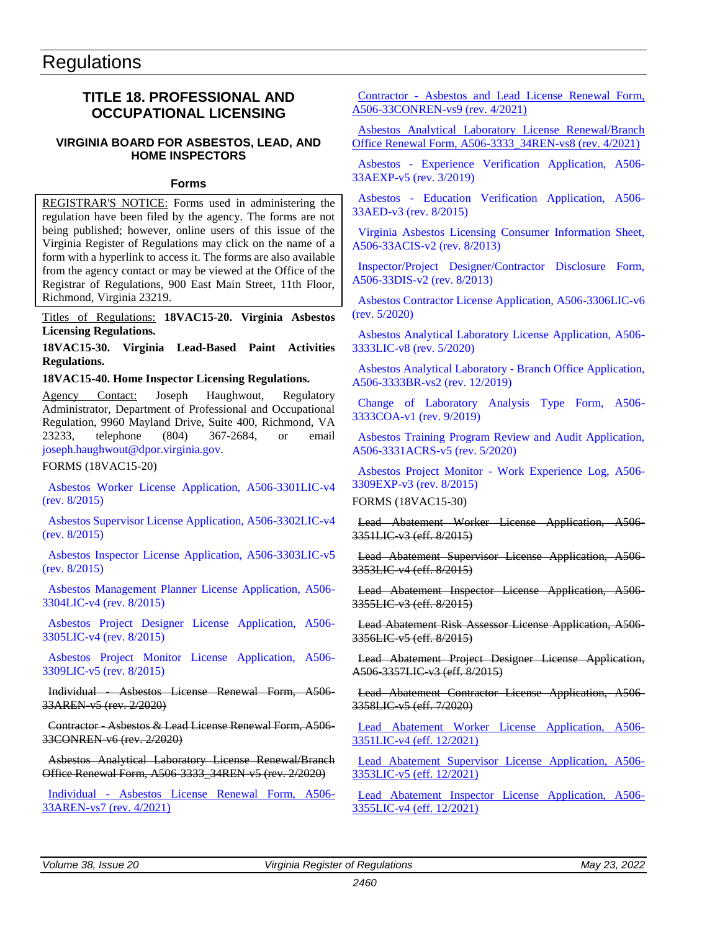### <span id="page-13-0"></span>**TITLE 18. PROFESSIONAL AND OCCUPATIONAL LICENSING**

#### **VIRGINIA BOARD FOR ASBESTOS, LEAD, AND HOME INSPECTORS**

#### **Forms**

REGISTRAR'S NOTICE: Forms used in administering the regulation have been filed by the agency. The forms are not being published; however, online users of this issue of the Virginia Register of Regulations may click on the name of a form with a hyperlink to access it. The forms are also available from the agency contact or may be viewed at the Office of the Registrar of Regulations, 900 East Main Street, 11th Floor, Richmond, Virginia 23219.

Titles of Regulations: **18VAC15-20. Virginia Asbestos Licensing Regulations.**

**18VAC15-30. Virginia Lead-Based Paint Activities Regulations.**

#### **18VAC15-40. Home Inspector Licensing Regulations.**

Agency Contact: Joseph Haughwout, Regulatory Administrator, Department of Professional and Occupational Regulation, 9960 Mayland Drive, Suite 400, Richmond, VA 23233, telephone (804) 367-2684, or email [joseph.haughwout@dpor.virginia.gov.](mailto:joseph.haughwout@dpor.virginia.gov)

FORMS (18VAC15-20)

[Asbestos Worker License Application, A506-3301LIC-v4](https://ris.dls.virginia.gov/uploads/18VAC15/forms/Asbestos%20Worker%20License%20Application%20Fee%20$80-20220429164407.pdf)  [\(rev. 8/2015\)](https://ris.dls.virginia.gov/uploads/18VAC15/forms/Asbestos%20Worker%20License%20Application%20Fee%20$80-20220429164407.pdf)

[Asbestos Supervisor License Application, A506-3302LIC-v4](https://ris.dls.virginia.gov/uploads/18VAC15/forms/Asbestos%20Supervisor%20License%20Application%20A506-3302LIC-v4%20(rev.%208-2015)%204-2022-20220429164600.pdf)  [\(rev. 8/2015\)](https://ris.dls.virginia.gov/uploads/18VAC15/forms/Asbestos%20Supervisor%20License%20Application%20A506-3302LIC-v4%20(rev.%208-2015)%204-2022-20220429164600.pdf)

[Asbestos Inspector License Application, A506-3303LIC-v5](https://ris.dls.virginia.gov/uploads/18VAC15/forms/Asbestos%20Inspector%20License%20Application,%20A506-3303LIC-v5%20(rev.%208-2015)%204-2022-20220429164733.pdf)  [\(rev. 8/2015\)](https://ris.dls.virginia.gov/uploads/18VAC15/forms/Asbestos%20Inspector%20License%20Application,%20A506-3303LIC-v5%20(rev.%208-2015)%204-2022-20220429164733.pdf)

[Asbestos Management Planner License Application, A506-](https://ris.dls.virginia.gov/uploads/18VAC15/forms/Asbestos%20Management%20Planner%20License%20Application,%20A506-3304LIC-v4%20(rev.%208-2015)%204-2022-20220429164909.pdf) [3304LIC-v4 \(rev. 8/2015\)](https://ris.dls.virginia.gov/uploads/18VAC15/forms/Asbestos%20Management%20Planner%20License%20Application,%20A506-3304LIC-v4%20(rev.%208-2015)%204-2022-20220429164909.pdf)

[Asbestos Project Designer License Application, A506-](https://ris.dls.virginia.gov/uploads/18VAC15/forms/Asbestos%20Project%20Designer%20License%20Application,%20A506-3305LIC-v4%20(rev.%208-2015)%204-2022-20220429165057.pdf) [3305LIC-v4 \(rev. 8/2015\)](https://ris.dls.virginia.gov/uploads/18VAC15/forms/Asbestos%20Project%20Designer%20License%20Application,%20A506-3305LIC-v4%20(rev.%208-2015)%204-2022-20220429165057.pdf)

[Asbestos Project Monitor License Application, A506-](https://ris.dls.virginia.gov/uploads/18VAC15/forms/A506-3309LIC-v5_08-18-2015-20210209094830.pdf) [3309LIC-v5 \(rev. 8/2015\)](https://ris.dls.virginia.gov/uploads/18VAC15/forms/A506-3309LIC-v5_08-18-2015-20210209094830.pdf)

Individual - Asbestos License Renewal Form, A506- 33AREN-v5 (rev. 2/2020)

Contractor - Asbestos & Lead License Renewal Form, A506- 33CONREN-v6 (rev. 2/2020)

Asbestos Analytical Laboratory License Renewal/Branch Office Renewal Form, A506-3333\_34REN-v5 (rev. 2/2020)

Individual - [Asbestos License Renewal Form, A506-](https://ris.dls.virginia.gov/uploads/18VAC15/forms/A506-33AREN-vs7_04-01-2021_pdf-20220502153211.pdf) [33AREN-vs7 \(rev. 4/2021\)](https://ris.dls.virginia.gov/uploads/18VAC15/forms/A506-33AREN-vs7_04-01-2021_pdf-20220502153211.pdf)

Contractor - Asbestos and [Lead License Renewal Form,](https://ris.dls.virginia.gov/uploads/18VAC15/forms/A506-33CONREN-vs9_04-01-2021_pdf-20220502153621.pdf)  [A506-33CONREN-vs9 \(rev. 4/2021\)](https://ris.dls.virginia.gov/uploads/18VAC15/forms/A506-33CONREN-vs9_04-01-2021_pdf-20220502153621.pdf)

[Asbestos Analytical Laboratory License Renewal/Branch](https://ris.dls.virginia.gov/uploads/18VAC15/forms/A506-3333_34REN-vs8_04-01-2021_pdf-20220502153926.pdf)  [Office Renewal Form, A506-3333\\_34REN-vs8 \(rev. 4/2021\)](https://ris.dls.virginia.gov/uploads/18VAC15/forms/A506-3333_34REN-vs8_04-01-2021_pdf-20220502153926.pdf)

Asbestos - [Experience Verification Application, A506-](https://ris.dls.virginia.gov/uploads/18VAC15/forms/30e35006213~49.pdf) [33AEXP-v5 \(rev. 3/2019\)](https://ris.dls.virginia.gov/uploads/18VAC15/forms/30e35006213~49.pdf)

Asbestos - [Education Verification Application, A506-](https://ris.dls.virginia.gov/uploads/18VAC15/forms/A506-33AED-v3_08-18-2015-20210209095151.pdf) [33AED-v3 \(rev. 8/2015\)](https://ris.dls.virginia.gov/uploads/18VAC15/forms/A506-33AED-v3_08-18-2015-20210209095151.pdf)

[Virginia Asbestos Licensing Consumer Information Sheet,](https://ris.dls.virginia.gov/uploads/18VAC15/forms/A506-33ACIS-v2_08-21-2013-20210209095429.pdf)  [A506-33ACIS-v2 \(rev. 8/2013\)](https://ris.dls.virginia.gov/uploads/18VAC15/forms/A506-33ACIS-v2_08-21-2013-20210209095429.pdf)

[Inspector/Project Designer/Contractor Disclosure Form,](https://ris.dls.virginia.gov/uploads/18VAC15/forms/A506-33DIS-v2_08-21-2013-20210209100536.pdf)  [A506-33DIS-v2 \(rev. 8/2013\)](https://ris.dls.virginia.gov/uploads/18VAC15/forms/A506-33DIS-v2_08-21-2013-20210209100536.pdf)

[Asbestos Contractor License Application, A506-3306LIC-v6](https://ris.dls.virginia.gov/uploads/18VAC15/forms/A506-3306LIC-v6_05-01-2020-20210209100844.pdf)  [\(rev. 5/2020\)](https://ris.dls.virginia.gov/uploads/18VAC15/forms/A506-3306LIC-v6_05-01-2020-20210209100844.pdf)

[Asbestos Analytical Laboratory License Application, A506-](https://ris.dls.virginia.gov/uploads/18VAC15/forms/A506-3333LIC-v8_05-01-2020-20210209101153.pdf) [3333LIC-v8 \(rev. 5/2020\)](https://ris.dls.virginia.gov/uploads/18VAC15/forms/A506-3333LIC-v8_05-01-2020-20210209101153.pdf)

[Asbestos Analytical Laboratory -](https://ris.dls.virginia.gov/uploads/18VAC15/forms/A506-3334BR-vs2_12-12-2019_pdf-20210209101510.pdf) Branch Office Application, [A506-3333BR-vs2 \(rev. 12/2019\)](https://ris.dls.virginia.gov/uploads/18VAC15/forms/A506-3334BR-vs2_12-12-2019_pdf-20210209101510.pdf)

[Change of Laboratory Analysis Type Form, A506-](https://ris.dls.virginia.gov/uploads/18VAC15/forms/a7345004855~6f.pdf) [3333COA-v1 \(rev. 9/2019\)](https://ris.dls.virginia.gov/uploads/18VAC15/forms/a7345004855~6f.pdf)

[Asbestos Training Program Review and Audit Application,](https://ris.dls.virginia.gov/uploads/18VAC15/forms/A506-3331ACRS-v5_05-01-2020-20210209101859.pdf)  [A506-3331ACRS-v5 \(rev. 5/2020\)](https://ris.dls.virginia.gov/uploads/18VAC15/forms/A506-3331ACRS-v5_05-01-2020-20210209101859.pdf)

Asbestos Project Monitor - [Work Experience Log, A506-](https://ris.dls.virginia.gov/uploads/18VAC15/forms/A506-3309EXP-v3_08-18-2015-20210209102128.pdf) [3309EXP-v3 \(rev. 8/2015\)](https://ris.dls.virginia.gov/uploads/18VAC15/forms/A506-3309EXP-v3_08-18-2015-20210209102128.pdf)

FORMS (18VAC15-30)

Lead Abatement Worker License Application, A506- 3351LIC-v3 (eff. 8/2015)

Lead Abatement Supervisor License Application, A506- 3353LIC-v4 (eff. 8/2015)

Lead Abatement Inspector License Application, A506- 3355LIC-v3 (eff. 8/2015)

Lead Abatement Risk Assessor License Application, A506- 3356LIC-v5 (eff. 8/2015)

Lead Abatement Project Designer License Application, A506-3357LIC-v3 (eff. 8/2015)

Lead Abatement Contractor License Application, A506- 3358LIC-v5 (eff. 7/2020)

[Lead Abatement Worker License Application, A506-](https://ris.dls.virginia.gov/uploads/18VAC15/forms/A506-3351LIC-v4_12-22-2021_pdf-20220328170425.pdf) [3351LIC-v4 \(eff. 12/2021\)](https://ris.dls.virginia.gov/uploads/18VAC15/forms/A506-3351LIC-v4_12-22-2021_pdf-20220328170425.pdf)

[Lead Abatement Supervisor License Application, A506-](https://ris.dls.virginia.gov/uploads/18VAC15/forms/A506-3353LIC-v5_12-22-2021_pdf-20220328170551.pdf) [3353LIC-v5 \(eff. 12/2021\)](https://ris.dls.virginia.gov/uploads/18VAC15/forms/A506-3353LIC-v5_12-22-2021_pdf-20220328170551.pdf)

[Lead Abatement Inspector License Application, A506-](https://ris.dls.virginia.gov/uploads/18VAC15/forms/A506-3355LIC-v4_12-22-2021_pdf-20220328170707.pdf) [3355LIC-v4 \(eff. 12/2021\)](https://ris.dls.virginia.gov/uploads/18VAC15/forms/A506-3355LIC-v4_12-22-2021_pdf-20220328170707.pdf)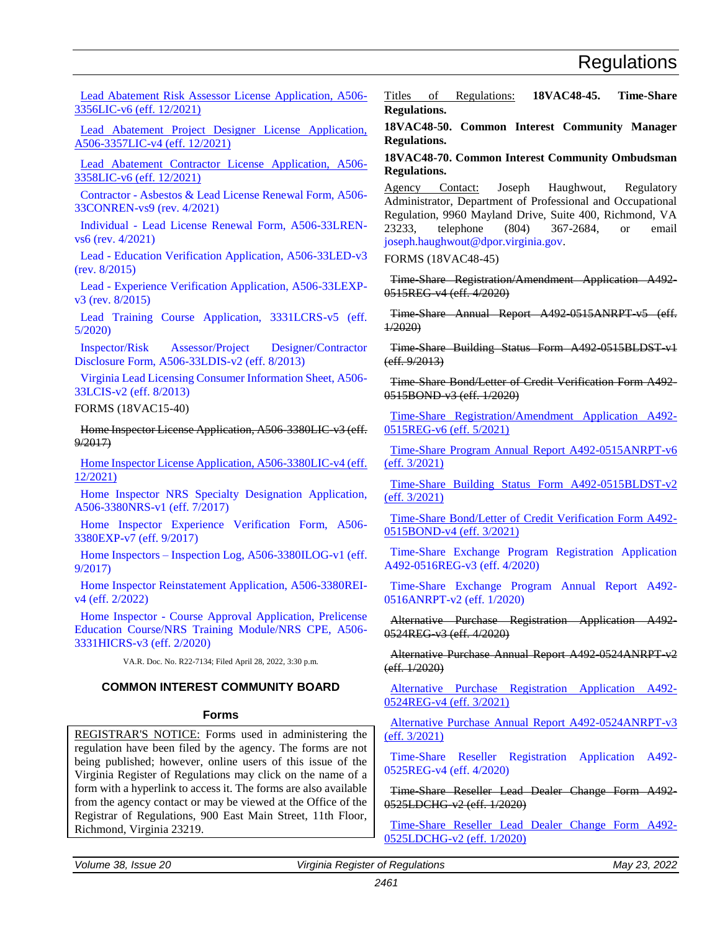<span id="page-14-0"></span>[Lead Abatement Risk Assessor License Application, A506-](https://ris.dls.virginia.gov/uploads/18VAC15/forms/A506-3356LIC-v6_12-22-2021_pdf-20220328170836.pdf) [3356LIC-v6 \(eff. 12/2021\)](https://ris.dls.virginia.gov/uploads/18VAC15/forms/A506-3356LIC-v6_12-22-2021_pdf-20220328170836.pdf)

[Lead Abatement Project Designer License Application,](https://ris.dls.virginia.gov/uploads/18VAC15/forms/A506-3357LIC-v4_12-22-2021_pdf-20220328171102.pdf)  [A506-3357LIC-v4 \(eff. 12/2021\)](https://ris.dls.virginia.gov/uploads/18VAC15/forms/A506-3357LIC-v4_12-22-2021_pdf-20220328171102.pdf)

[Lead Abatement Contractor License Application, A506-](https://ris.dls.virginia.gov/uploads/18VAC15/forms/A506-3358LIC-v6_12-22-2021_pdf-20220328171249.pdf) [3358LIC-v6 \(eff. 12/2021\)](https://ris.dls.virginia.gov/uploads/18VAC15/forms/A506-3358LIC-v6_12-22-2021_pdf-20220328171249.pdf)

Contractor - [Asbestos & Lead License Renewal Form, A506-](https://ris.dls.virginia.gov/uploads/18VAC15/forms/A506-33CONREN-vs9_04-01-2021-20210204133544.pdf) [33CONREN-vs9 \(rev. 4/2021\)](https://ris.dls.virginia.gov/uploads/18VAC15/forms/A506-33CONREN-vs9_04-01-2021-20210204133544.pdf)

Individual - [Lead License Renewal Form, A506-33LREN](https://ris.dls.virginia.gov/uploads/18VAC15/forms/A506-33LREN-vs6_04-01-2021-20210204133420.pdf)[vs6 \(rev. 4/2021\)](https://ris.dls.virginia.gov/uploads/18VAC15/forms/A506-33LREN-vs6_04-01-2021-20210204133420.pdf)

Lead - [Education Verification Application, A506-33LED-v3](https://ris.dls.virginia.gov/uploads/18VAC15/forms/A506-33LED-v3_08-01-2015_pdf-20220328171446.pdf)  [\(rev. 8/2015\)](https://ris.dls.virginia.gov/uploads/18VAC15/forms/A506-33LED-v3_08-01-2015_pdf-20220328171446.pdf)

Lead - [Experience Verification Application, A506-33LEXP](https://ris.dls.virginia.gov/uploads/18VAC15/forms/A506-33LEXP-v3%20_08-18-2015_pdf-20220328171556.pdf)[v3 \(rev. 8/2015\)](https://ris.dls.virginia.gov/uploads/18VAC15/forms/A506-33LEXP-v3%20_08-18-2015_pdf-20220328171556.pdf)

[Lead Training Course Application, 3331LCRS-v5 \(eff.](https://ris.dls.virginia.gov/uploads/18VAC15/forms/A506-3331LCRS-v5_05-01-2020-20210209103033.pdf)  [5/2020\)](https://ris.dls.virginia.gov/uploads/18VAC15/forms/A506-3331LCRS-v5_05-01-2020-20210209103033.pdf)

[Inspector/Risk Assessor/Project Designer/Contractor](https://ris.dls.virginia.gov/uploads/18VAC15/forms/A506-33LDIS-v2_08-21-2013_pdf-20220328171715.pdf)  [Disclosure Form, A506-33LDIS-v2 \(eff. 8/2013\)](https://ris.dls.virginia.gov/uploads/18VAC15/forms/A506-33LDIS-v2_08-21-2013_pdf-20220328171715.pdf)

[Virginia Lead Licensing Consumer Information Sheet, A506-](https://ris.dls.virginia.gov/uploads/18VAC15/forms/A506-33LCIS-v2_08-21-2013_pdf-20220328171852.pdf) [33LCIS-v2 \(eff. 8/2013\)](https://ris.dls.virginia.gov/uploads/18VAC15/forms/A506-33LCIS-v2_08-21-2013_pdf-20220328171852.pdf)

FORMS (18VAC15-40)

Home Inspector License Application, A506-3380LIC-v3 (eff. 9/2017)

[Home Inspector License Application, A506-3380LIC-v4 \(eff.](https://ris.dls.virginia.gov/uploads/18VAC15/forms/A506-3380LIC-v4_12-22-2021_pdf-20220404171958.pdf)  [12/2021\)](https://ris.dls.virginia.gov/uploads/18VAC15/forms/A506-3380LIC-v4_12-22-2021_pdf-20220404171958.pdf)

[Home Inspector NRS Specialty Designation Application,](https://ris.dls.virginia.gov/uploads/18VAC15/forms/79f02005264~22.pdf)  [A506-3380NRS-v1 \(eff. 7/2017\)](https://ris.dls.virginia.gov/uploads/18VAC15/forms/79f02005264~22.pdf)

[Home Inspector Experience Verification Form, A506-](https://ris.dls.virginia.gov/uploads/18VAC15/forms/19f80005264~33.pdf) [3380EXP-v7 \(eff. 9/2017\)](https://ris.dls.virginia.gov/uploads/18VAC15/forms/19f80005264~33.pdf)

Home Inspectors – [Inspection Log, A506-3380ILOG-v1 \(eff.](https://ris.dls.virginia.gov/uploads/18VAC15/forms/41c4b005264~44.pdf)  [9/2017\)](https://ris.dls.virginia.gov/uploads/18VAC15/forms/41c4b005264~44.pdf)

[Home Inspector Reinstatement Application, A506-3380REI](https://ris.dls.virginia.gov/uploads/18VAC15/forms/A506-3380REI-v4_02-01-2022-20211129093720.pdf)[v4 \(eff. 2/2022\)](https://ris.dls.virginia.gov/uploads/18VAC15/forms/A506-3380REI-v4_02-01-2022-20211129093720.pdf)

Home Inspector - [Course Approval Application, Prelicense](https://ris.dls.virginia.gov/uploads/18VAC15/forms/A506-3331HICRS-vs3_02-21-2020_pdf-20210210093309.pdf)  [Education Course/NRS Training Module/NRS CPE, A506-](https://ris.dls.virginia.gov/uploads/18VAC15/forms/A506-3331HICRS-vs3_02-21-2020_pdf-20210210093309.pdf) [3331HICRS-v3 \(eff. 2/2020\)](https://ris.dls.virginia.gov/uploads/18VAC15/forms/A506-3331HICRS-vs3_02-21-2020_pdf-20210210093309.pdf)

VA.R. Doc. No. R22-7134; Filed April 28, 2022, 3:30 p.m.

#### **COMMON INTEREST COMMUNITY BOARD**

#### **Forms**

REGISTRAR'S NOTICE: Forms used in administering the regulation have been filed by the agency. The forms are not being published; however, online users of this issue of the Virginia Register of Regulations may click on the name of a form with a hyperlink to access it. The forms are also available from the agency contact or may be viewed at the Office of the Registrar of Regulations, 900 East Main Street, 11th Floor, Richmond, Virginia 23219.

Titles of Regulations: **18VAC48-45. Time-Share Regulations.**

**18VAC48-50. Common Interest Community Manager Regulations.**

**18VAC48-70. Common Interest Community Ombudsman Regulations.**

Agency Contact: Joseph Haughwout, Regulatory Administrator, Department of Professional and Occupational Regulation, 9960 Mayland Drive, Suite 400, Richmond, VA 23233, telephone (804) 367-2684, or email [joseph.haughwout@dpor.virginia.gov.](mailto:joseph.haughwout@dpor.virginia.gov)

FORMS (18VAC48-45)

Time-Share Registration/Amendment Application A492- 0515REG-v4 (eff. 4/2020)

Time-Share Annual Report A492-0515ANRPT-v5 (eff. 1/2020)

Time-Share Building Status Form A492-0515BLDST-v1 (eff. 9/2013)

Time-Share Bond/Letter of Credit Verification Form A492- 0515BOND-v3 (eff. 1/2020)

[Time-Share Registration/Amendment Application A492-](https://ris.dls.virginia.gov/uploads/18VAC48/forms/A492-0515REG-v6_05-07-2021_pdf-20220406112239.pdf) [0515REG-v6 \(eff. 5/2021\)](https://ris.dls.virginia.gov/uploads/18VAC48/forms/A492-0515REG-v6_05-07-2021_pdf-20220406112239.pdf)

[Time-Share Program Annual Report A492-0515ANRPT-v6](https://ris.dls.virginia.gov/uploads/18VAC48/forms/A492-0515ANRPT-v6_03-01-2021-20210225141150.pdf)  [\(eff. 3/2021\)](https://ris.dls.virginia.gov/uploads/18VAC48/forms/A492-0515ANRPT-v6_03-01-2021-20210225141150.pdf)

[Time-Share Building Status Form A492-0515BLDST-v2](https://ris.dls.virginia.gov/uploads/18VAC48/forms/A492-0515BLDST-v2_03-01-2021-20210225141440.pdf)  [\(eff. 3/2021\)](https://ris.dls.virginia.gov/uploads/18VAC48/forms/A492-0515BLDST-v2_03-01-2021-20210225141440.pdf)

[Time-Share Bond/Letter of Credit Verification Form A492-](https://ris.dls.virginia.gov/uploads/18VAC48/forms/A492-0515BOND-v4_03-01-2021-20210225141708.pdf) [0515BOND-v4 \(eff. 3/2021\)](https://ris.dls.virginia.gov/uploads/18VAC48/forms/A492-0515BOND-v4_03-01-2021-20210225141708.pdf)

[Time-Share Exchange Program Registration Application](https://ris.dls.virginia.gov/uploads/18VAC48/forms/7109c006308~2f.pdf)  [A492-0516REG-v3 \(eff. 4/2020\)](https://ris.dls.virginia.gov/uploads/18VAC48/forms/7109c006308~2f.pdf)

[Time-Share Exchange Program Annual Report A492-](https://ris.dls.virginia.gov/uploads/18VAC48/forms/22a77006328~5f.pdf) [0516ANRPT-v2 \(eff. 1/2020\)](https://ris.dls.virginia.gov/uploads/18VAC48/forms/22a77006328~5f.pdf)

Alternative Purchase Registration Application A492- 0524REG-v3 (eff. 4/2020)

Alternative Purchase Annual Report A492 0524ANRPT v2 (eff. 1/2020)

[Alternative Purchase Registration Application A492-](https://ris.dls.virginia.gov/uploads/18VAC48/forms/A492-0524REG-v4_03-01-2021-20210225142108.pdf) [0524REG-v4 \(eff. 3/2021\)](https://ris.dls.virginia.gov/uploads/18VAC48/forms/A492-0524REG-v4_03-01-2021-20210225142108.pdf)

[Alternative Purchase Annual Report A492-0524ANRPT-v3](https://ris.dls.virginia.gov/uploads/18VAC48/forms/A492-0524ANRPT-v3_03-01-2021-20210225142258.pdf)  [\(eff. 3/2021\)](https://ris.dls.virginia.gov/uploads/18VAC48/forms/A492-0524ANRPT-v3_03-01-2021-20210225142258.pdf)

[Time-Share Reseller Registration Application A492-](https://ris.dls.virginia.gov/uploads/18VAC48/forms/ceaed006308~4f.pdf) [0525REG-v4 \(eff. 4/2020\)](https://ris.dls.virginia.gov/uploads/18VAC48/forms/ceaed006308~4f.pdf)

Time-Share Reseller Lead Dealer Change Form A492- 0525LDCHG-v2 (eff. 1/2020)

[Time-Share Reseller Lead Dealer Change Form](https://ris.dls.virginia.gov/uploads/18VAC48/forms/A492-0525LDCHG-v2_01-01-2020_pdf-20220404171543.pdf) A492- [0525LDCHG-v2 \(eff. 1/2020\)](https://ris.dls.virginia.gov/uploads/18VAC48/forms/A492-0525LDCHG-v2_01-01-2020_pdf-20220404171543.pdf)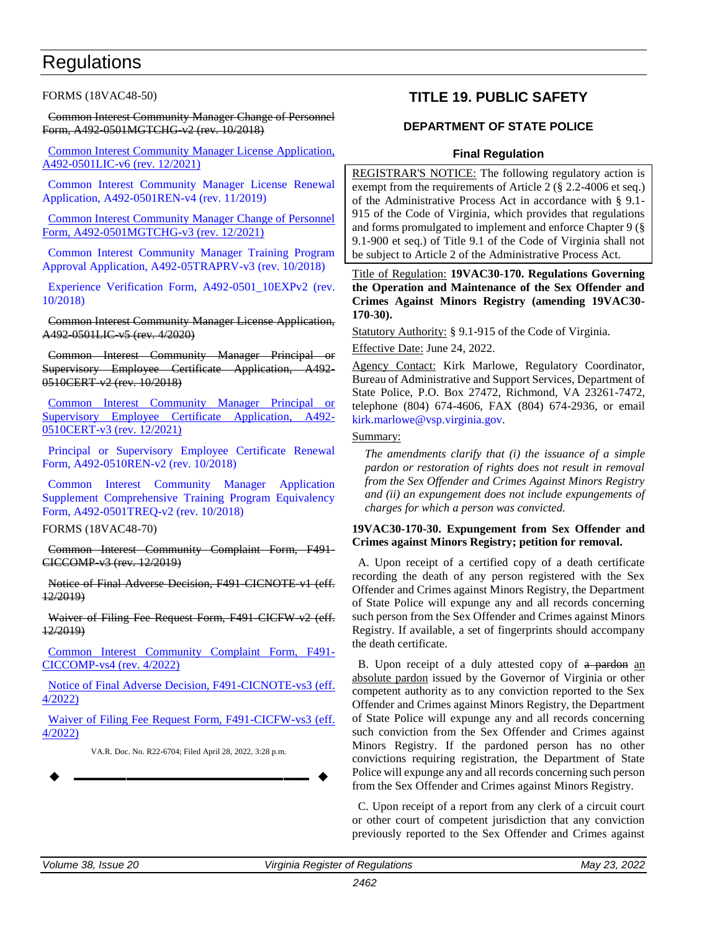## <span id="page-15-0"></span>**Regulations**

FORMS (18VAC48-50)

Common Interest Community Manager Change of Personnel Form, A492-0501MGTCHG-v2 (rev. 10/2018)

[Common Interest Community Manager License Application,](https://ris.dls.virginia.gov/uploads/18VAC48/forms/A492-0501LIC-v6_12-01-2021_pdf-20220317155813.pdf)  [A492-0501LIC-v6 \(rev. 12/2021\)](https://ris.dls.virginia.gov/uploads/18VAC48/forms/A492-0501LIC-v6_12-01-2021_pdf-20220317155813.pdf)

[Common Interest Community Manager License Renewal](https://ris.dls.virginia.gov/uploads/18VAC48/forms/5384b005976~4f.pdf)  [Application, A492-0501REN-v4 \(rev. 11/2019\)](https://ris.dls.virginia.gov/uploads/18VAC48/forms/5384b005976~4f.pdf)

[Common Interest Community Manager Change of Personnel](https://ris.dls.virginia.gov/uploads/18VAC48/forms/A492-0501MGTCHG-v3_12-01-2021_pdf-20220317160115.pdf)  [Form, A492-0501MGTCHG-v3 \(rev. 12/2021\)](https://ris.dls.virginia.gov/uploads/18VAC48/forms/A492-0501MGTCHG-v3_12-01-2021_pdf-20220317160115.pdf)

[Common Interest Community Manager Training Program](https://ris.dls.virginia.gov/uploads/18VAC48/forms/bf7e6005718~8f.pdf)  [Approval Application, A492-05TRAPRV-v3 \(rev. 10/2018\)](https://ris.dls.virginia.gov/uploads/18VAC48/forms/bf7e6005718~8f.pdf)

[Experience Verification Form, A492-0501\\_10EXPv2 \(rev.](https://ris.dls.virginia.gov/uploads/18VAC48/forms/0641a005718~2f.pdf)  [10/2018\)](https://ris.dls.virginia.gov/uploads/18VAC48/forms/0641a005718~2f.pdf)

Common Interest Community Manager License Application, A492-0501LIC-v5 (rev. 4/2020)

Common Interest Community Manager Principal or Supervisory Employee Certificate Application, A492- 0510CERT-v2 (rev. 10/2018)

[Common Interest Community Manager Principal or](https://ris.dls.virginia.gov/uploads/18VAC48/forms/A492-0510CERT-v3_12-01-2021_pdf-20220317160418.pdf)  [Supervisory Employee Certificate Application, A492-](https://ris.dls.virginia.gov/uploads/18VAC48/forms/A492-0510CERT-v3_12-01-2021_pdf-20220317160418.pdf) [0510CERT-v3 \(rev. 12/2021\)](https://ris.dls.virginia.gov/uploads/18VAC48/forms/A492-0510CERT-v3_12-01-2021_pdf-20220317160418.pdf)

[Principal or Supervisory Employee Certificate Renewal](https://ris.dls.virginia.gov/uploads/18VAC48/forms/1d9b1005718~6f.pdf)  [Form, A492-0510REN-v2 \(rev. 10/2018\)](https://ris.dls.virginia.gov/uploads/18VAC48/forms/1d9b1005718~6f.pdf)

[Common Interest Community Manager Application](https://ris.dls.virginia.gov/uploads/18VAC48/forms/0b6a1005718~3f.pdf)  [Supplement Comprehensive Training Program Equivalency](https://ris.dls.virginia.gov/uploads/18VAC48/forms/0b6a1005718~3f.pdf)  [Form, A492-0501TREQ-v2 \(rev. 10/2018\)](https://ris.dls.virginia.gov/uploads/18VAC48/forms/0b6a1005718~3f.pdf)

FORMS (18VAC48-70)

Common Interest Community Complaint Form, F491- CICCOMP-v3 (rev. 12/2019)

Notice of Final Adverse Decision, F491 CICNOTE v1 (eff. 12/2019)

Waiver of Filing Fee Request Form, F491 CICFW v2 (eff. 12/2019)

[Common Interest Community Complaint Form, F491-](https://ris.dls.virginia.gov/uploads/18VAC48/forms/F491-CICCOMP-vs4_04-01-2022_pdf-20220404170501.pdf) [CICCOMP-vs4 \(rev. 4/2022\)](https://ris.dls.virginia.gov/uploads/18VAC48/forms/F491-CICCOMP-vs4_04-01-2022_pdf-20220404170501.pdf)

[Notice of Final Adverse Decision, F491-CICNOTE-vs3 \(eff.](https://ris.dls.virginia.gov/uploads/18VAC48/forms/F491-CICNOTE-vs3_04-01-2022_pdf-20220404170734.pdf)  [4/2022\)](https://ris.dls.virginia.gov/uploads/18VAC48/forms/F491-CICNOTE-vs3_04-01-2022_pdf-20220404170734.pdf)

[Waiver of Filing Fee Request Form, F491-CICFW-vs3 \(eff.](https://ris.dls.virginia.gov/uploads/18VAC48/forms/F491-CICFW-vs3_04-01-2022_pdf-20220404170853.pdf)  [4/2022\)](https://ris.dls.virginia.gov/uploads/18VAC48/forms/F491-CICFW-vs3_04-01-2022_pdf-20220404170853.pdf)

VA.R. Doc. No. R22-6704; Filed April 28, 2022, 3:28 p.m.

**––––––––––––––––––**

### **TITLE 19. PUBLIC SAFETY**

### **DEPARTMENT OF STATE POLICE**

#### **Final Regulation**

REGISTRAR'S NOTICE: The following regulatory action is exempt from the requirements of Article 2 (§ 2.2-4006 et seq.) of the Administrative Process Act in accordance with § 9.1- 915 of the Code of Virginia, which provides that regulations and forms promulgated to implement and enforce Chapter 9 (§ 9.1-900 et seq.) of Title 9.1 of the Code of Virginia shall not be subject to Article 2 of the Administrative Process Act.

Title of Regulation: **19VAC30-170. Regulations Governing the Operation and Maintenance of the Sex Offender and Crimes Against Minors Registry (amending 19VAC30- 170-30).**

Statutory Authority: § 9.1-915 of the Code of Virginia.

Effective Date: June 24, 2022.

Agency Contact: Kirk Marlowe, Regulatory Coordinator, Bureau of Administrative and Support Services, Department of State Police, P.O. Box 27472, Richmond, VA 23261-7472, telephone (804) 674-4606, FAX (804) 674-2936, or email [kirk.marlowe@vsp.virginia.gov.](mailto:kirk.marlowe@vsp.virginia.gov)

#### Summary:

*The amendments clarify that (i) the issuance of a simple pardon or restoration of rights does not result in removal from the Sex Offender and Crimes Against Minors Registry and (ii) an expungement does not include expungements of charges for which a person was convicted.*

#### **19VAC30-170-30. Expungement from Sex Offender and Crimes against Minors Registry; petition for removal.**

A. Upon receipt of a certified copy of a death certificate recording the death of any person registered with the Sex Offender and Crimes against Minors Registry, the Department of State Police will expunge any and all records concerning such person from the Sex Offender and Crimes against Minors Registry. If available, a set of fingerprints should accompany the death certificate.

B. Upon receipt of a duly attested copy of a pardon an absolute pardon issued by the Governor of Virginia or other competent authority as to any conviction reported to the Sex Offender and Crimes against Minors Registry, the Department of State Police will expunge any and all records concerning such conviction from the Sex Offender and Crimes against Minors Registry. If the pardoned person has no other convictions requiring registration, the Department of State Police will expunge any and all records concerning such person from the Sex Offender and Crimes against Minors Registry.

C. Upon receipt of a report from any clerk of a circuit court or other court of competent jurisdiction that any conviction previously reported to the Sex Offender and Crimes against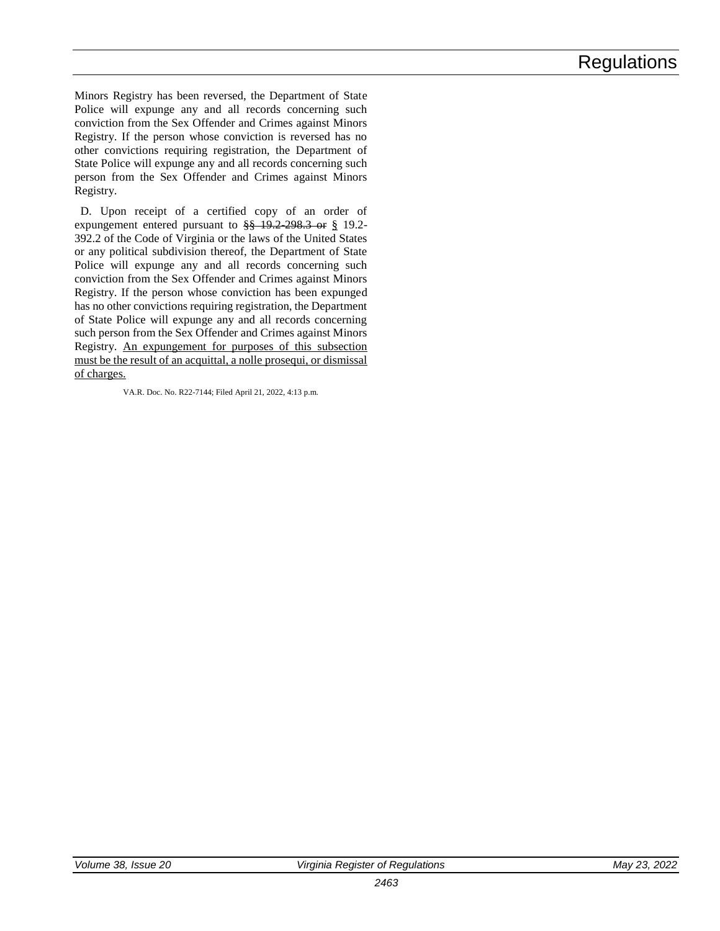Minors Registry has been reversed, the Department of State Police will expunge any and all records concerning such conviction from the Sex Offender and Crimes against Minors Registry. If the person whose conviction is reversed has no other convictions requiring registration, the Department of State Police will expunge any and all records concerning such person from the Sex Offender and Crimes against Minors Registry.

D. Upon receipt of a certified copy of an order of expungement entered pursuant to  $\frac{88}{3}$  19.2-298.3 or § 19.2-392.2 of the Code of Virginia or the laws of the United States or any political subdivision thereof, the Department of State Police will expunge any and all records concerning such conviction from the Sex Offender and Crimes against Minors Registry. If the person whose conviction has been expunged has no other convictions requiring registration, the Department of State Police will expunge any and all records concerning such person from the Sex Offender and Crimes against Minors Registry. An expungement for purposes of this subsection must be the result of an acquittal, a nolle prosequi, or dismissal of charges.

VA.R. Doc. No. R22-7144; Filed April 21, 2022, 4:13 p.m.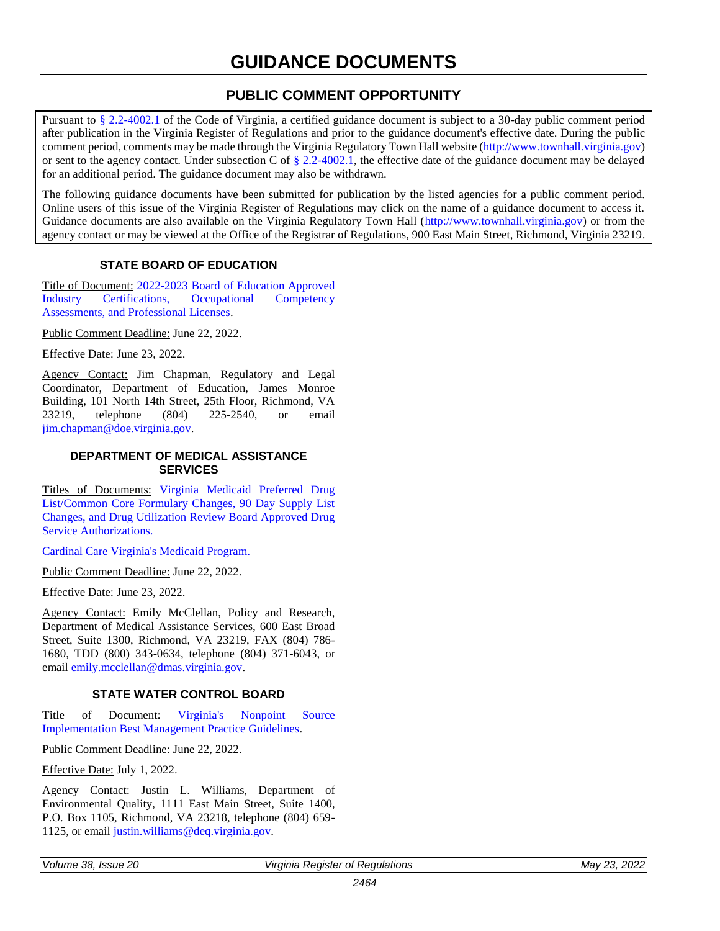# **GUIDANCE DOCUMENTS**

### **PUBLIC COMMENT OPPORTUNITY**

<span id="page-17-0"></span>Pursuant to [§ 2.2-4002.1](https://law.lis.virginia.gov/vacode/title2.2/chapter40/section2.2-4002.1/) of the Code of Virginia, a certified guidance document is subject to a 30-day public comment period after publication in the Virginia Register of Regulations and prior to the guidance document's effective date. During the public comment period, comments may be made through the Virginia Regulatory Town Hall website [\(http://www.townhall.virginia.gov\)](http://www.townhall.virginia.gov/) or sent to the agency contact. Under subsection C of  $\S 2.2-4002.1$ , the effective date of the guidance document may be delayed for an additional period. The guidance document may also be withdrawn.

The following guidance documents have been submitted for publication by the listed agencies for a public comment period. Online users of this issue of the Virginia Register of Regulations may click on the name of a guidance document to access it. Guidance documents are also available on the Virginia Regulatory Town Hall [\(http://www.townhall.virginia.gov\)](http://www.townhall.virginia.gov/) or from the agency contact or may be viewed at the Office of the Registrar of Regulations, 900 East Main Street, Richmond, Virginia 23219.

### **STATE BOARD OF EDUCATION**

Title of Document: [2022-2023 Board of Education Approved](https://townhall.virginia.gov/L/GetFile.cfm?File=C:/TownHall/docroot/GuidanceDocs_Proposed/201/GDoc_DOE_6158_20220502.pdf)  [Industry Certifications, Occupational Competency](https://townhall.virginia.gov/L/GetFile.cfm?File=C:/TownHall/docroot/GuidanceDocs_Proposed/201/GDoc_DOE_6158_20220502.pdf)  [Assessments, and Professional Licenses.](https://townhall.virginia.gov/L/GetFile.cfm?File=C:/TownHall/docroot/GuidanceDocs_Proposed/201/GDoc_DOE_6158_20220502.pdf)

Public Comment Deadline: June 22, 2022.

Effective Date: June 23, 2022.

Agency Contact: Jim Chapman, Regulatory and Legal Coordinator, Department of Education, James Monroe Building, 101 North 14th Street, 25th Floor, Richmond, VA 23219, telephone (804) 225-2540, or email [jim.chapman@doe.virginia.gov.](mailto:jim.chapman@doe.virginia.gov)

#### **DEPARTMENT OF MEDICAL ASSISTANCE SERVICES**

Titles of Documents: [Virginia Medicaid Preferred Drug](https://townhall.virginia.gov/l/GetFile.cfm?File=C:/TownHall/docroot/GuidanceDocs_Proposed/602/GDoc_DMAS_6160_20220503.pdf)  [List/Common Core Formulary Changes, 90 Day Supply List](https://townhall.virginia.gov/l/GetFile.cfm?File=C:/TownHall/docroot/GuidanceDocs_Proposed/602/GDoc_DMAS_6160_20220503.pdf)  [Changes, and Drug Utilization Review Board Approved Drug](https://townhall.virginia.gov/l/GetFile.cfm?File=C:/TownHall/docroot/GuidanceDocs_Proposed/602/GDoc_DMAS_6160_20220503.pdf)  [Service Authorizations.](https://townhall.virginia.gov/l/GetFile.cfm?File=C:/TownHall/docroot/GuidanceDocs_Proposed/602/GDoc_DMAS_6160_20220503.pdf)

[Cardinal Care Virginia's Medicaid Program.](https://townhall.virginia.gov/l/GetFile.cfm?File=C:/TownHall/docroot/GuidanceDocs_Proposed/602/GDoc_DMAS_6159_20220503.pdf)

Public Comment Deadline: June 22, 2022.

Effective Date: June 23, 2022.

Agency Contact: Emily McClellan, Policy and Research, Department of Medical Assistance Services, 600 East Broad Street, Suite 1300, Richmond, VA 23219, FAX (804) 786- 1680, TDD (800) 343-0634, telephone (804) 371-6043, or emai[l emily.mcclellan@dmas.virginia.gov.](mailto:emily.mcclellan@dmas.virginia.gov)

#### **STATE WATER CONTROL BOARD**

Title of Document: [Virginia's Nonpoint Source](https://townhall.virginia.gov/L/GetFile.cfm?File=C:/TownHall/docroot/GuidanceDocs_Proposed/440/GDoc_DEQ_6157_20220502.pdf)  [Implementation Best Management Practice Guidelines.](https://townhall.virginia.gov/L/GetFile.cfm?File=C:/TownHall/docroot/GuidanceDocs_Proposed/440/GDoc_DEQ_6157_20220502.pdf)

Public Comment Deadline: June 22, 2022.

Effective Date: July 1, 2022.

Agency Contact: Justin L. Williams, Department of Environmental Quality, 1111 East Main Street, Suite 1400, P.O. Box 1105, Richmond, VA 23218, telephone (804) 659- 1125, or email [justin.williams@deq.virginia.gov.](mailto:justin.williams@deq.virginia.gov)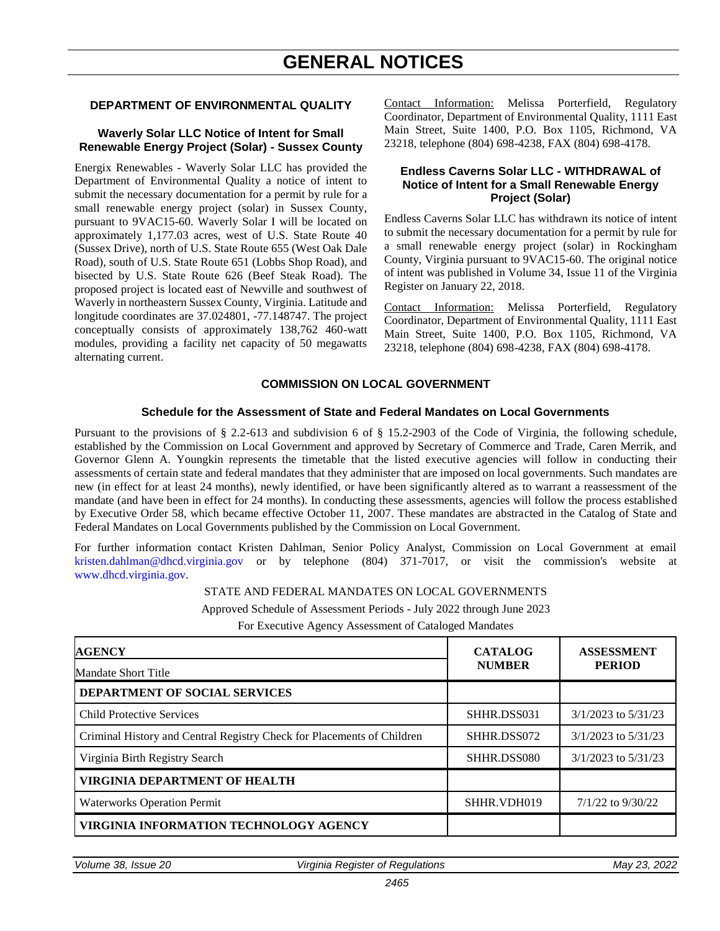# **GENERAL NOTICES**

#### <span id="page-18-0"></span>**DEPARTMENT OF ENVIRONMENTAL QUALITY**

#### **Waverly Solar LLC Notice of Intent for Small Renewable Energy Project (Solar) - Sussex County**

Energix Renewables - Waverly Solar LLC has provided the Department of Environmental Quality a notice of intent to submit the necessary documentation for a permit by rule for a small renewable energy project (solar) in Sussex County, pursuant to 9VAC15-60. Waverly Solar I will be located on approximately 1,177.03 acres, west of U.S. State Route 40 (Sussex Drive), north of U.S. State Route 655 (West Oak Dale Road), south of U.S. State Route 651 (Lobbs Shop Road), and bisected by U.S. State Route 626 (Beef Steak Road). The proposed project is located east of Newville and southwest of Waverly in northeastern Sussex County, Virginia. Latitude and longitude coordinates are 37.024801, -77.148747. The project conceptually consists of approximately 138,762 460-watt modules, providing a facility net capacity of 50 megawatts alternating current.

Contact Information: Melissa Porterfield, Regulatory Coordinator, Department of Environmental Quality, 1111 East Main Street, Suite 1400, P.O. Box 1105, Richmond, VA 23218, telephone (804) 698-4238, FAX (804) 698-4178.

#### **Endless Caverns Solar LLC - WITHDRAWAL of Notice of Intent for a Small Renewable Energy Project (Solar)**

Endless Caverns Solar LLC has withdrawn its notice of intent to submit the necessary documentation for a permit by rule for a small renewable energy project (solar) in Rockingham County, Virginia pursuant to 9VAC15-60. The original notice of intent was published in Volume 34, Issue 11 of the Virginia Register on January 22, 2018.

Contact Information: Melissa Porterfield, Regulatory Coordinator, Department of Environmental Quality, 1111 East Main Street, Suite 1400, P.O. Box 1105, Richmond, VA 23218, telephone (804) 698-4238, FAX (804) 698-4178.

#### **COMMISSION ON LOCAL GOVERNMENT**

#### **Schedule for the Assessment of State and Federal Mandates on Local Governments**

Pursuant to the provisions of § 2.2-613 and subdivision 6 of § 15.2-2903 of the Code of Virginia, the following schedule, established by the Commission on Local Government and approved by Secretary of Commerce and Trade, Caren Merrik, and Governor Glenn A. Youngkin represents the timetable that the listed executive agencies will follow in conducting their assessments of certain state and federal mandates that they administer that are imposed on local governments. Such mandates are new (in effect for at least 24 months), newly identified, or have been significantly altered as to warrant a reassessment of the mandate (and have been in effect for 24 months). In conducting these assessments, agencies will follow the process established by Executive Order 58, which became effective October 11, 2007. These mandates are abstracted in the Catalog of State and Federal Mandates on Local Governments published by the Commission on Local Government.

For further information contact Kristen Dahlman, Senior Policy Analyst, Commission on Local Government at email [kristen.dahlman@dhcd.virginia.gov](mailto:kristen.dahlman@dhcd.virginia.gov) or by telephone (804) 371-7017, or visit the commission's website at [www.dhcd.virginia.gov.](http://www.dhcd.virginia.gov/)

#### STATE AND FEDERAL MANDATES ON LOCAL GOVERNMENTS

Approved Schedule of Assessment Periods - July 2022 through June 2023

For Executive Agency Assessment of Cataloged Mandates

| <b>AGENCY</b>                                                          | <b>CATALOG</b><br><b>NUMBER</b> | <b>ASSESSMENT</b><br><b>PERIOD</b> |  |
|------------------------------------------------------------------------|---------------------------------|------------------------------------|--|
| Mandate Short Title                                                    |                                 |                                    |  |
| <b>DEPARTMENT OF SOCIAL SERVICES</b>                                   |                                 |                                    |  |
| <b>Child Protective Services</b>                                       | SHHR.DSS031                     | $3/1/2023$ to $5/31/23$            |  |
| Criminal History and Central Registry Check for Placements of Children | SHHR.DSS072                     | $3/1/2023$ to $5/31/23$            |  |
| Virginia Birth Registry Search                                         | SHHR.DSS080                     | $3/1/2023$ to $5/31/23$            |  |
| <b>VIRGINIA DEPARTMENT OF HEALTH</b>                                   |                                 |                                    |  |
| <b>Waterworks Operation Permit</b>                                     | SHHR.VDH019                     | 7/1/22 to 9/30/22                  |  |
| <b>VIRGINIA INFORMATION TECHNOLOGY AGENCY</b>                          |                                 |                                    |  |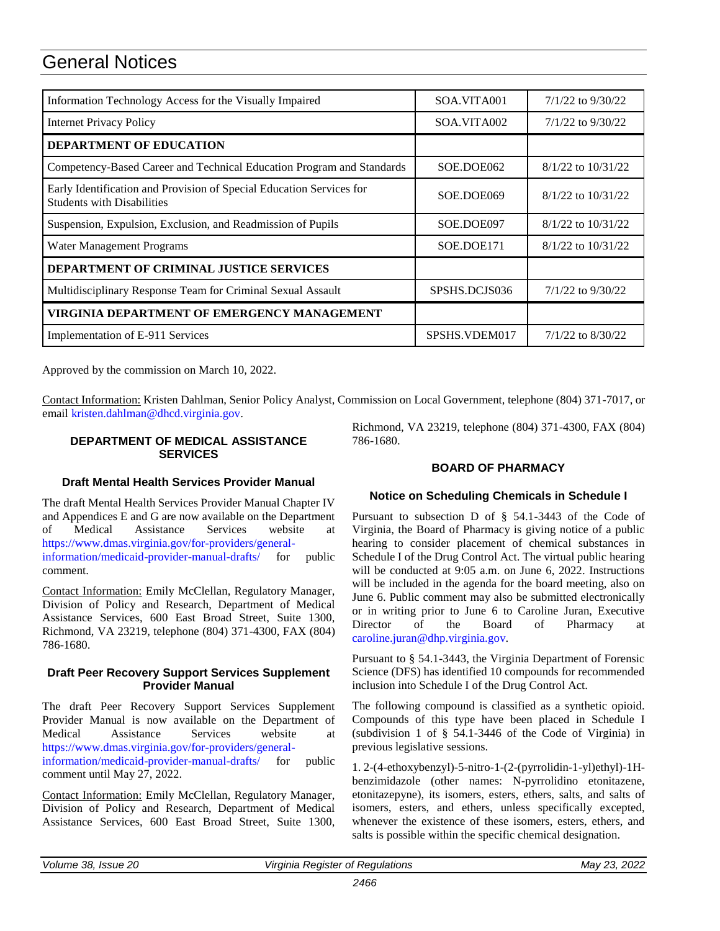# General Notices

| Information Technology Access for the Visually Impaired                                                   | SOA.VITA001   | $7/1/22$ to $9/30/22$  |
|-----------------------------------------------------------------------------------------------------------|---------------|------------------------|
| <b>Internet Privacy Policy</b>                                                                            | SOA.VITA002   | $7/1/22$ to $9/30/22$  |
| <b>DEPARTMENT OF EDUCATION</b>                                                                            |               |                        |
| Competency-Based Career and Technical Education Program and Standards                                     | SOE.DOE062    | $8/1/22$ to $10/31/22$ |
| Early Identification and Provision of Special Education Services for<br><b>Students with Disabilities</b> | SOE.DOE069    | $8/1/22$ to $10/31/22$ |
| Suspension, Expulsion, Exclusion, and Readmission of Pupils                                               | SOE.DOE097    | $8/1/22$ to $10/31/22$ |
| Water Management Programs                                                                                 | SOE.DOE171    | $8/1/22$ to $10/31/22$ |
| DEPARTMENT OF CRIMINAL JUSTICE SERVICES                                                                   |               |                        |
| Multidisciplinary Response Team for Criminal Sexual Assault                                               | SPSHS.DCJS036 | $7/1/22$ to $9/30/22$  |
| VIRGINIA DEPARTMENT OF EMERGENCY MANAGEMENT                                                               |               |                        |
| Implementation of E-911 Services                                                                          | SPSHS.VDEM017 | $7/1/22$ to 8/30/22    |

Approved by the commission on March 10, 2022.

Contact Information: Kristen Dahlman, Senior Policy Analyst, Commission on Local Government, telephone (804) 371-7017, or emai[l kristen.dahlman@dhcd.virginia.gov.](mailto:kristen.dahlman@dhcd.virginia.gov)

#### **DEPARTMENT OF MEDICAL ASSISTANCE SERVICES**

Richmond, VA 23219, telephone (804) 371-4300, FAX (804) 786-1680.

#### **Draft Mental Health Services Provider Manual**

The draft Mental Health Services Provider Manual Chapter IV and Appendices E and G are now available on the Department of Medical Assistance Services website at [https://www.dmas.virginia.gov/for-providers/general](https://www.dmas.virginia.gov/for-providers/general-information/medicaid-provider-manual-drafts/)[information/medicaid-provider-manual-drafts/](https://www.dmas.virginia.gov/for-providers/general-information/medicaid-provider-manual-drafts/) for public comment.

Contact Information: Emily McClellan, Regulatory Manager, Division of Policy and Research, Department of Medical Assistance Services, 600 East Broad Street, Suite 1300, Richmond, VA 23219, telephone (804) 371-4300, FAX (804) 786-1680.

#### **Draft Peer Recovery Support Services Supplement Provider Manual**

The draft Peer Recovery Support Services Supplement Provider Manual is now available on the Department of Medical Assistance Services website at [https://www.dmas.virginia.gov/for-providers/general](https://www.dmas.virginia.gov/for-providers/general-information/medicaid-provider-manual-drafts/)[information/medicaid-provider-manual-drafts/](https://www.dmas.virginia.gov/for-providers/general-information/medicaid-provider-manual-drafts/) for public comment until May 27, 2022.

Contact Information: Emily McClellan, Regulatory Manager, Division of Policy and Research, Department of Medical Assistance Services, 600 East Broad Street, Suite 1300,

#### **BOARD OF PHARMACY**

#### **Notice on Scheduling Chemicals in Schedule I**

Pursuant to subsection D of § 54.1-3443 of the Code of Virginia, the Board of Pharmacy is giving notice of a public hearing to consider placement of chemical substances in Schedule I of the Drug Control Act. The virtual public hearing will be conducted at 9:05 a.m. on June 6, 2022. Instructions will be included in the agenda for the board meeting, also on June 6. Public comment may also be submitted electronically or in writing prior to June 6 to Caroline Juran, Executive Director of the Board of Pharmacy at [caroline.juran@dhp.virginia.gov.](mailto:caroline.juran@dhp.virginia.gov)

Pursuant to § 54.1-3443, the Virginia Department of Forensic Science (DFS) has identified 10 compounds for recommended inclusion into Schedule I of the Drug Control Act.

The following compound is classified as a synthetic opioid. Compounds of this type have been placed in Schedule I (subdivision 1 of § 54.1-3446 of the Code of Virginia) in previous legislative sessions.

1. 2-(4-ethoxybenzyl)-5-nitro-1-(2-(pyrrolidin-1-yl)ethyl)-1Hbenzimidazole (other names: N-pyrrolidino etonitazene, etonitazepyne), its isomers, esters, ethers, salts, and salts of isomers, esters, and ethers, unless specifically excepted, whenever the existence of these isomers, esters, ethers, and salts is possible within the specific chemical designation.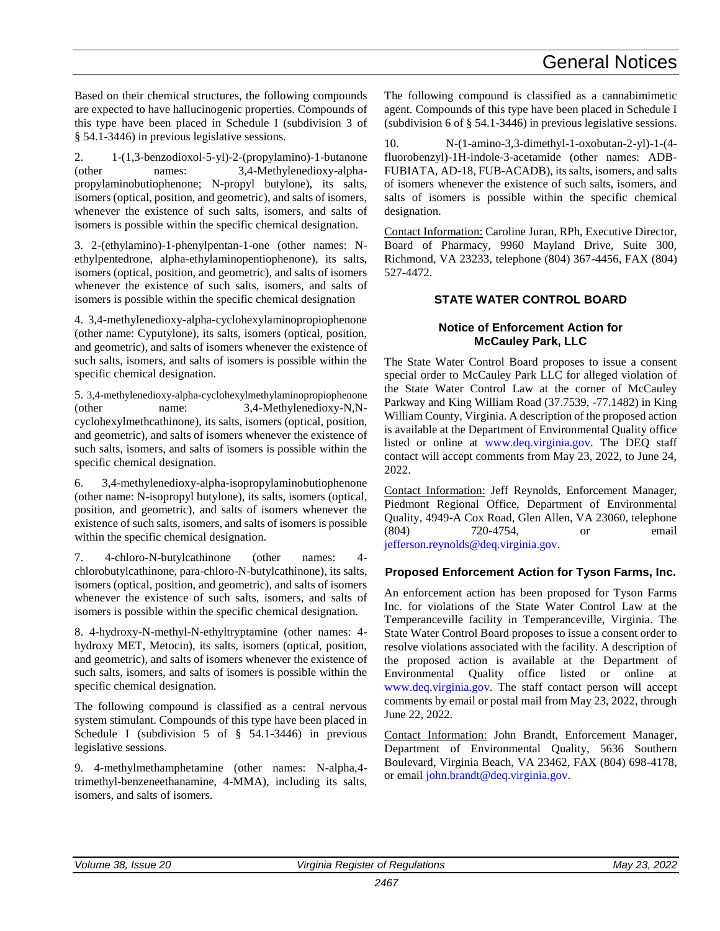Based on their chemical structures, the following compounds are expected to have hallucinogenic properties. Compounds of this type have been placed in Schedule I (subdivision 3 of § 54.1-3446) in previous legislative sessions.

2. 1-(1,3-benzodioxol-5-yl)-2-(propylamino)-1-butanone (other names: 3,4-Methylenedioxy-alphapropylaminobutiophenone; N-propyl butylone), its salts, isomers (optical, position, and geometric), and salts of isomers, whenever the existence of such salts, isomers, and salts of isomers is possible within the specific chemical designation.

3. 2-(ethylamino)-1-phenylpentan-1-one (other names: Nethylpentedrone, alpha-ethylaminopentiophenone), its salts, isomers (optical, position, and geometric), and salts of isomers whenever the existence of such salts, isomers, and salts of isomers is possible within the specific chemical designation

4. 3,4-methylenedioxy-alpha-cyclohexylaminopropiophenone (other name: Cyputylone), its salts, isomers (optical, position, and geometric), and salts of isomers whenever the existence of such salts, isomers, and salts of isomers is possible within the specific chemical designation.

5. 3,4-methylenedioxy-alpha-cyclohexylmethylaminopropiophenone (other name: 3,4-Methylenedioxy-N,Ncyclohexylmethcathinone), its salts, isomers (optical, position, and geometric), and salts of isomers whenever the existence of such salts, isomers, and salts of isomers is possible within the specific chemical designation.

6. 3,4-methylenedioxy-alpha-isopropylaminobutiophenone (other name: N-isopropyl butylone), its salts, isomers (optical, position, and geometric), and salts of isomers whenever the existence of such salts, isomers, and salts of isomers is possible within the specific chemical designation.

7. 4-chloro-N-butylcathinone (other names: 4 chlorobutylcathinone, para-chloro-N-butylcathinone), its salts, isomers (optical, position, and geometric), and salts of isomers whenever the existence of such salts, isomers, and salts of isomers is possible within the specific chemical designation.

8. 4-hydroxy-N-methyl-N-ethyltryptamine (other names: 4 hydroxy MET, Metocin), its salts, isomers (optical, position, and geometric), and salts of isomers whenever the existence of such salts, isomers, and salts of isomers is possible within the specific chemical designation.

The following compound is classified as a central nervous system stimulant. Compounds of this type have been placed in Schedule I (subdivision 5 of § 54.1-3446) in previous legislative sessions.

9. 4-methylmethamphetamine (other names: N-alpha,4 trimethyl-benzeneethanamine, 4-MMA), including its salts, isomers, and salts of isomers.

The following compound is classified as a cannabimimetic agent. Compounds of this type have been placed in Schedule I (subdivision 6 of § 54.1-3446) in previous legislative sessions.

10. N-(1-amino-3,3-dimethyl-1-oxobutan-2-yl)-1-(4 fluorobenzyl)-1H-indole-3-acetamide (other names: ADB-FUBIATA, AD-18, FUB-ACADB), its salts, isomers, and salts of isomers whenever the existence of such salts, isomers, and salts of isomers is possible within the specific chemical designation.

Contact Information: Caroline Juran, RPh, Executive Director, Board of Pharmacy, 9960 Mayland Drive, Suite 300, Richmond, VA 23233, telephone (804) 367-4456, FAX (804) 527-4472.

#### **STATE WATER CONTROL BOARD**

#### **Notice of Enforcement Action for McCauley Park, LLC**

The State Water Control Board proposes to issue a consent special order to McCauley Park LLC for alleged violation of the State Water Control Law at the corner of McCauley Parkway and King William Road (37.7539, -77.1482) in King William County, Virginia. A description of the proposed action is available at the Department of Environmental Quality office listed or online at [www.deq.virginia.gov.](http://www.deq.virginia.gov/) The DEQ staff contact will accept comments from May 23, 2022, to June 24, 2022.

Contact Information: Jeff Reynolds, Enforcement Manager, Piedmont Regional Office, Department of Environmental Quality, 4949-A Cox Road, Glen Allen, VA 23060, telephone (804) 720-4754, or email [jefferson.reynolds@deq.virginia.gov.](mailto:Jefferson.Reynolds@DEQ.Virginia.gov)

#### **Proposed Enforcement Action for Tyson Farms, Inc.**

An enforcement action has been proposed for Tyson Farms Inc. for violations of the State Water Control Law at the Temperanceville facility in Temperanceville, Virginia. The State Water Control Board proposes to issue a consent order to resolve violations associated with the facility. A description of the proposed action is available at the Department of Environmental Quality office listed or online at [www.deq.virginia.gov.](http://www.deq.virginia.gov/) The staff contact person will accept comments by email or postal mail from May 23, 2022, through June 22, 2022.

Contact Information: John Brandt, Enforcement Manager, Department of Environmental Quality, 5636 Southern Boulevard, Virginia Beach, VA 23462, FAX (804) 698-4178, or email [john.brandt@deq.virginia.gov.](mailto:john.brandt@deq.virginia.gov)